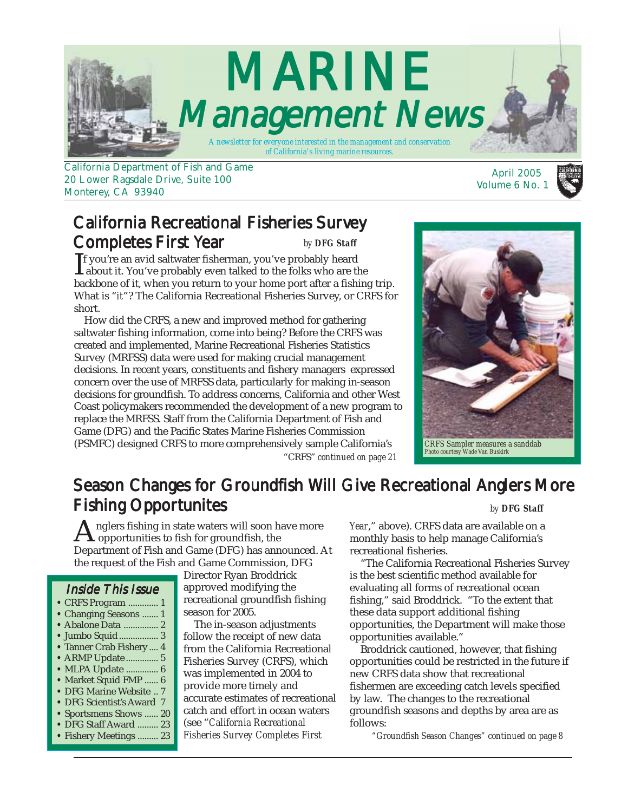

20 Lower Ragsdale Drive, Suite 100 Monterey, CA 93940

#### California Recreational Fisheries Survey Completes First Year *by DFG Staff*

 $\prod$ f you're an avid saltwater fisherman, you've probably heard<br>about it. You've probably even talked to the folks who are the<br>healthans of it, when you nature to your home part often a fishin f you're an avid saltwater fisherman, you've probably heard backbone of it, when you return to your home port after a fishing trip. What is "*it*"? The California Recreational Fisheries Survey, or CRFS for short.

 How did the CRFS, a new and improved method for gathering saltwater fishing information, come into being? Before the CRFS was created and implemented, Marine Recreational Fisheries Statistics Survey (MRFSS) data were used for making crucial management decisions. In recent years, constituents and fishery managers expressed concern over the use of MRFSS data, particularly for making in-season decisions for groundfish. To address concerns, California and other West Coast policymakers recommended the development of a new program to replace the MRFSS. Staff from the California Department of Fish and Game (DFG) and the Pacific States Marine Fisheries Commission (PSMFC) designed CRFS to more comprehensively sample California's "CRFS" *[continued on page 21](#page-20-0)*



Volume 6 No. 1

# Season Changes for Groundfish Will Give Recreational Anglers More **Fishing Opportunites** *by DFG Staff*

nglers fishing in state waters will soon have more opportunities to fish for groundfish, the Department of Fish and Game (DFG) has announced. At the request of the Fish and Game Commission, DFG

#### Inside This Issue

- CRFS Program ............. 1
- Changing Seasons ....... 1
- [Abalone Data ............... 2](#page-1-0)
- **•** [Jumbo Squid................. 3](#page-2-0)
- **•** [Tanner Crab Fishery .... 4](#page-3-0)
- [ARMP Update .............. 5](#page-4-0)
- [MLPA Update .............. 6](#page-5-0) **•** [Market Squid FMP ...... 6](#page-5-0)
- [DFG Marine Website .. 7](#page-6-0)
- [DFG Scientist's Award 7](#page-7-0)
- [Sportsmens Shows ...... 20](#page-19-0)
- **•** [DFG Staff Award ......... 23](#page-22-0)
- [Fishery Meetings ......... 23](#page-22-0)

Director Ryan Broddrick approved modifying the recreational groundfish fishing season for 2005.

 The in-season adjustments follow the receipt of new data from the California Recreational Fisheries Survey (CRFS), which was implemented in 2004 to provide more timely and accurate estimates of recreational catch and effort in ocean waters (see "*California Recreational Fisheries Survey Completes First*

*Year*," above). CRFS data are available on a monthly basis to help manage California's recreational fisheries.

 "The California Recreational Fisheries Survey is the best scientific method available for evaluating all forms of recreational ocean fishing," said Broddrick. "To the extent that these data support additional fishing opportunities, the Department will make those opportunities available."

 Broddrick cautioned, however, that fishing opportunities could be restricted in the future if new CRFS data show that recreational fishermen are exceeding catch levels specified by law. The changes to the recreational groundfish seasons and depths by area are as follows:

*["Groundfish Season Changes" continued on page 8](#page-7-0)*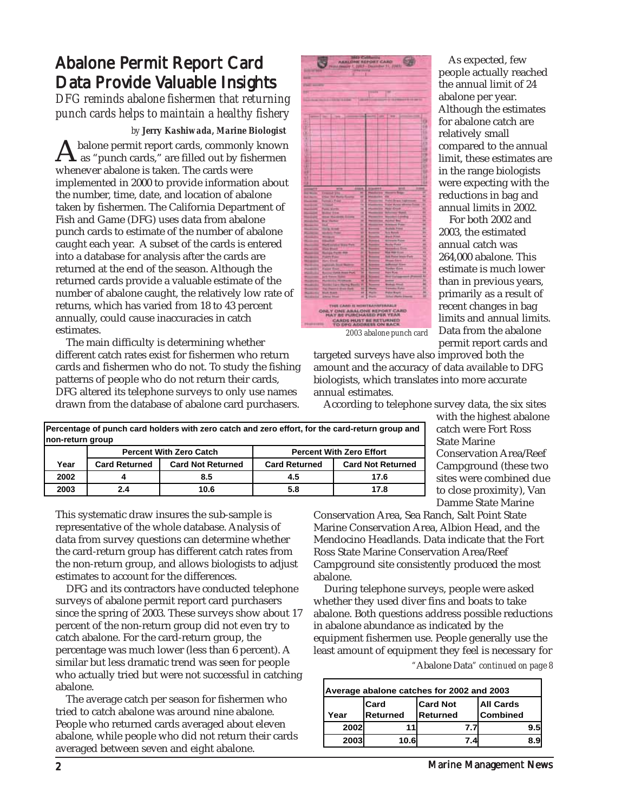# <span id="page-1-0"></span>Abalone Permit Report Card Data Provide Valuable Insights

*DFG reminds abalone fishermen that returning punch cards helps to maintain a healthy fishery*

#### *by Jerry Kashiwada, Marine Biologist*

 $\mathbf{A}$  balone permit report cards, commonly known<br>
whenever shalone is taken. The sends were whenever abalone is taken. The cards were implemented in 2000 to provide information about the number, time, date, and location of abalone taken by fishermen. The California Department of Fish and Game (DFG) uses data from abalone punch cards to estimate of the number of abalone caught each year. A subset of the cards is entered into a database for analysis after the cards are returned at the end of the season. Although the returned cards provide a valuable estimate of the number of abalone caught, the relatively low rate of returns, which has varied from 18 to 43 percent annually, could cause inaccuracies in catch estimates.

 The main difficulty is determining whether different catch rates exist for fishermen who return cards and fishermen who do not. To study the fishing patterns of people who do not return their cards, DFG altered its telephone surveys to only use names drawn from the database of abalone card purchasers.



 As expected, few people actually reached the annual limit of 24 abalone per year. Although the estimates for abalone catch are relatively small compared to the annual limit, these estimates are in the range biologists were expecting with the reductions in bag and annual limits in 2002.

 For both 2002 and 2003, the estimated annual catch was 264,000 abalone. This estimate is much lower than in previous years, primarily as a result of recent changes in bag limits and annual limits. Data from the abalone permit report cards and

*2003 abalone punch card*

targeted surveys have also improved both the amount and the accuracy of data available to DFG biologists, which translates into more accurate annual estimates.

According to telephone survey data, the six sites

| Percentage of punch card holders with zero catch and zero effort, for the card-return group and<br>non-return group |                                                                   |                          |                      |                          |
|---------------------------------------------------------------------------------------------------------------------|-------------------------------------------------------------------|--------------------------|----------------------|--------------------------|
|                                                                                                                     | <b>Percent With Zero Catch</b><br><b>Percent With Zero Effort</b> |                          |                      |                          |
| Year                                                                                                                | <b>Card Returned</b>                                              | <b>Card Not Returned</b> | <b>Card Returned</b> | <b>Card Not Returned</b> |
| 2002                                                                                                                |                                                                   | 8.5                      | 4.5                  | 17.6                     |
| 2003                                                                                                                | 2.4                                                               | 10.6                     | 5.8                  | 17.8                     |

with the highest abalone catch were Fort Ross State Marine Conservation Area/Reef Campground (these two sites were combined due to close proximity), Van Damme State Marine

This systematic draw insures the sub-sample is representative of the whole database. Analysis of data from survey questions can determine whether the card-return group has different catch rates from the non-return group, and allows biologists to adjust estimates to account for the differences.

 DFG and its contractors have conducted telephone surveys of abalone permit report card purchasers since the spring of 2003. These surveys show about 17 percent of the non-return group did not even try to catch abalone. For the card-return group, the percentage was much lower (less than 6 percent). A similar but less dramatic trend was seen for people who actually tried but were not successful in catching abalone.

 The average catch per season for fishermen who tried to catch abalone was around nine abalone. People who returned cards averaged about eleven abalone, while people who did not return their cards averaged between seven and eight abalone.

Conservation Area, Sea Ranch, Salt Point State Marine Conservation Area, Albion Head, and the Mendocino Headlands. Data indicate that the Fort Ross State Marine Conservation Area/Reef Campground site consistently produced the most abalone.

 During telephone surveys, people were asked whether they used diver fins and boats to take abalone. Both questions address possible reductions in abalone abundance as indicated by the equipment fishermen use. People generally use the least amount of equipment they feel is necessary for *"*Abalone Data*[" continued on page 8](#page-7-0)*

| Average abalone catches for 2002 and 2003 |                  |                             |                                     |  |  |  |
|-------------------------------------------|------------------|-----------------------------|-------------------------------------|--|--|--|
| Year                                      | Card<br>Returned | <b>Card Not</b><br>Returned | <b>All Cards</b><br><b>Combined</b> |  |  |  |
| 2002                                      |                  | 7.71                        | 9.5                                 |  |  |  |
| 2003                                      | 10.6             | 7.4                         | 89                                  |  |  |  |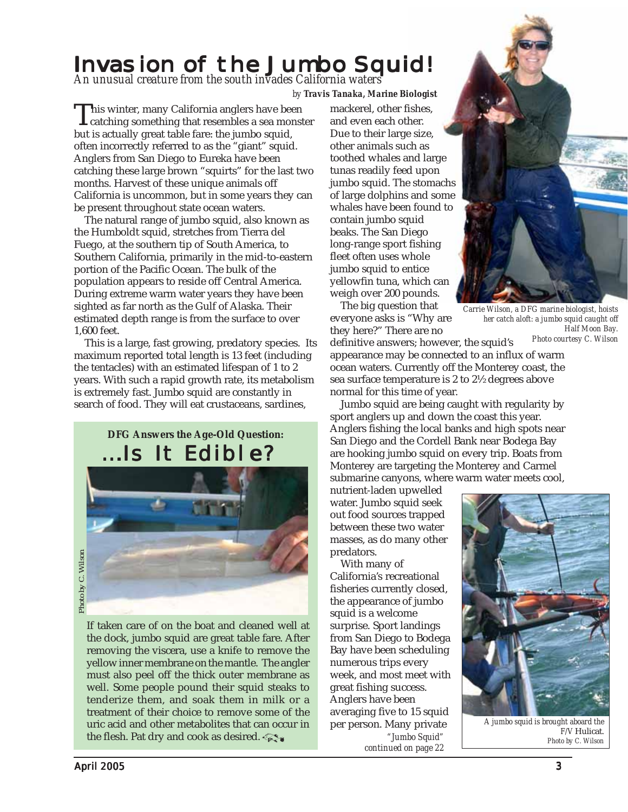# <span id="page-2-0"></span>Invasion of the Jumbo Squid!

*by Travis Tanaka, Marine Biologist An unusual creature from the south invades California waters*

This winter, many California anglers have been<br>catching something that resembles a sea monster<br>but is actually great table fand the jumba squid but is actually great table fare: the jumbo squid, often incorrectly referred to as the "giant" squid. Anglers from San Diego to Eureka have been catching these large brown "squirts" for the last two months. Harvest of these unique animals off California is uncommon, but in some years they can be present throughout state ocean waters.

 The natural range of jumbo squid, also known as the Humboldt squid, stretches from Tierra del Fuego, at the southern tip of South America, to Southern California, primarily in the mid-to-eastern portion of the Pacific Ocean. The bulk of the population appears to reside off Central America. During extreme warm water years they have been sighted as far north as the Gulf of Alaska. Their estimated depth range is from the surface to over 1,600 feet.

 This is a large, fast growing, predatory species. Its maximum reported total length is 13 feet (including the tentacles) with an estimated lifespan of 1 to 2 years. With such a rapid growth rate, its metabolism is extremely fast. Jumbo squid are constantly in search of food. They will eat crustaceans, sardines,

> **DFG Answers the Age-Old Question:** ...Is It Edible?



If taken care of on the boat and cleaned well at the dock, jumbo squid are great table fare. After removing the viscera, use a knife to remove the yellow inner membrane on the mantle. The angler must also peel off the thick outer membrane as well. Some people pound their squid steaks to tenderize them, and soak them in milk or a treatment of their choice to remove some of the uric acid and other metabolites that can occur in the flesh. Pat dry and cook as desired.

mackerel, other fishes, and even each other. Due to their large size, other animals such as toothed whales and large tunas readily feed upon jumbo squid. The stomachs of large dolphins and some whales have been found to contain jumbo squid beaks. The San Diego long-range sport fishing fleet often uses whole jumbo squid to entice yellowfin tuna, which can weigh over 200 pounds.

 The big question that everyone asks is "Why are they here?" There are no



*Carrie Wilson, a DFG marine biologist, hoists her catch aloft: a jumbo squid caught off Half Moon Bay. Photo courtesy C. Wilson*

definitive answers; however, the squid's appearance may be connected to an influx of warm ocean waters. Currently off the Monterey coast, the sea surface temperature is 2 to 2½ degrees above normal for this time of year.

 Jumbo squid are being caught with regularity by sport anglers up and down the coast this year. Anglers fishing the local banks and high spots near San Diego and the Cordell Bank near Bodega Bay are hooking jumbo squid on every trip. Boats from Monterey are targeting the Monterey and Carmel submarine canyons, where warm water meets cool,

nutrient-laden upwelled water. Jumbo squid seek out food sources trapped between these two water masses, as do many other predators.

 With many of California's recreational fisheries currently closed, the appearance of jumbo squid is a welcome surprise. Sport landings from San Diego to Bodega Bay have been scheduling numerous trips every week, and most meet with great fishing success. Anglers have been averaging five to 15 squid per person. Many private *"Jumbo Squid" [continued on page 22](#page-21-0)*



*A jumbo squid is brought aboard the F/V* Hulicat. *Photo by C. Wilson*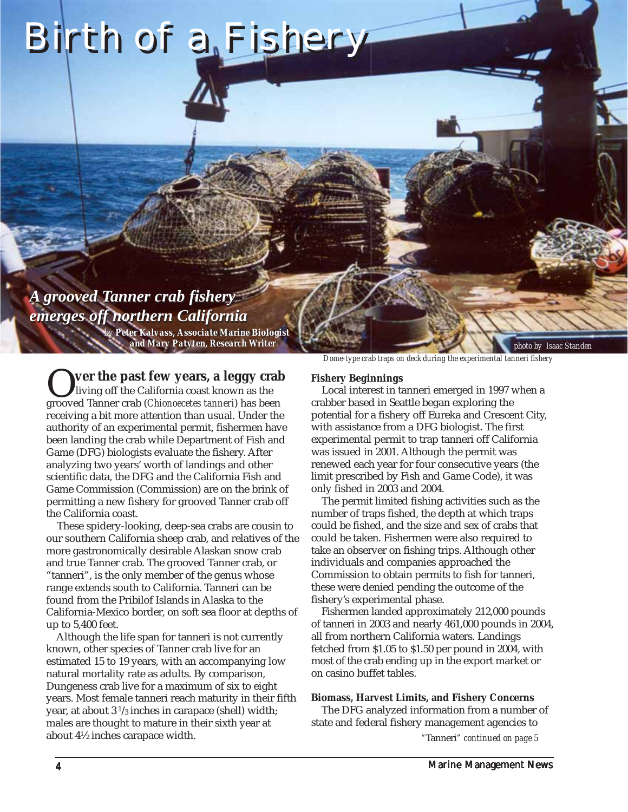# <span id="page-3-0"></span>Birth of a Fishery

# *A grooved Tanner crab fishery A grooved Tanner crab fishery emerges off northern California emerges off northern California*

*and Mary Patyten, Research Writer and Mary Patyten, Research Writer by Peter Kalvass, Senior Marine Biologist Associate Marine Biologist*

O**ver the past few years, a leggy crab** living off the California coast known as the grooved Tanner crab (*Chionoecetes tanneri*) has been receiving a bit more attention than usual. Under the authority of an experimental permit, fishermen have been landing the crab while Department of Fish and Game (DFG) biologists evaluate the fishery. After analyzing two years' worth of landings and other scientific data, the DFG and the California Fish and Game Commission (Commission) are on the brink of permitting a new fishery for grooved Tanner crab off the California coast.

 These spidery-looking, deep-sea crabs are cousin to our southern California sheep crab, and relatives of the more gastronomically desirable Alaskan snow crab and true Tanner crab. The grooved Tanner crab, or "tanneri", is the only member of the genus whose range extends south to California. Tanneri can be found from the Pribilof Islands in Alaska to the California-Mexico border, on soft sea floor at depths of up to 5,400 feet.

 Although the life span for tanneri is not currently known, other species of Tanner crab live for an estimated 15 to 19 years, with an accompanying low natural mortality rate as adults. By comparison, Dungeness crab live for a maximum of six to eight years. Most female tanneri reach maturity in their fifth year, at about 3  $^{1}\!/_{3}$  inches in carapace (shell) width; males are thought to mature in their sixth year at about 4½ inches carapace width.

*Dome-type crab traps on deck during the experimental tanneri fishery*

*photo by Isaac Standen*

#### **Fishery Beginnings**

 Local interest in tanneri emerged in 1997 when a crabber based in Seattle began exploring the potential for a fishery off Eureka and Crescent City, with assistance from a DFG biologist. The first experimental permit to trap tanneri off California was issued in 2001. Although the permit was renewed each year for four consecutive years (the limit prescribed by Fish and Game Code), it was only fished in 2003 and 2004.

 The permit limited fishing activities such as the number of traps fished, the depth at which traps could be fished, and the size and sex of crabs that could be taken. Fishermen were also required to take an observer on fishing trips. Although other individuals and companies approached the Commission to obtain permits to fish for tanneri, these were denied pending the outcome of the fishery's experimental phase.

 Fishermen landed approximately 212,000 pounds of tanneri in 2003 and nearly 461,000 pounds in 2004, all from northern California waters. Landings fetched from \$1.05 to \$1.50 per pound in 2004, with most of the crab ending up in the export market or on casino buffet tables.

#### **Biomass, Harvest Limits, and Fishery Concerns**

 The DFG analyzed information from a number of state and federal fishery management agencies to

*"*Tanneri*[" continued on page 5](#page-4-0)*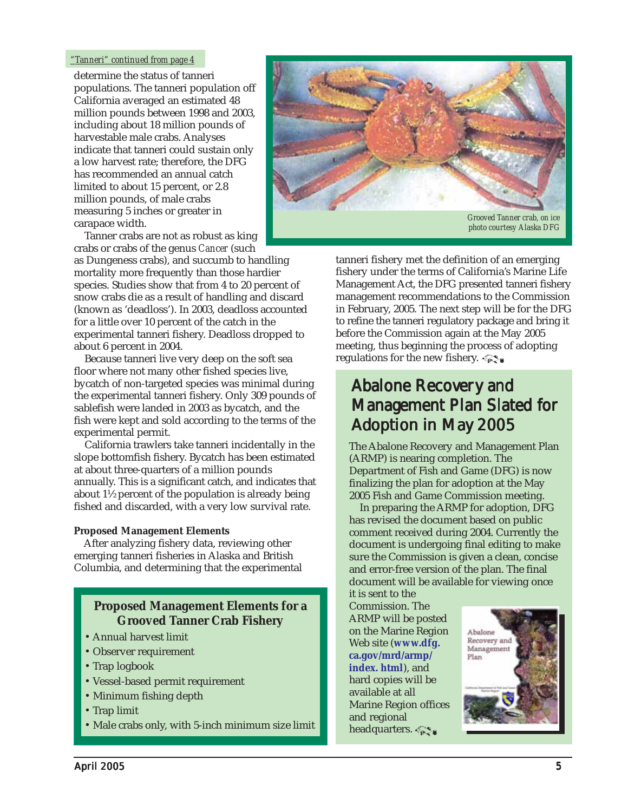#### <span id="page-4-0"></span>*"Tanneri" continued from page 4*

determine the status of tanneri populations. The tanneri population off California averaged an estimated 48 million pounds between 1998 and 2003, including about 18 million pounds of harvestable male crabs. Analyses indicate that tanneri could sustain only a low harvest rate; therefore, the DFG has recommended an annual catch limited to about 15 percent, or 2.8 million pounds, of male crabs measuring 5 inches or greater in carapace width.

 Tanner crabs are not as robust as king crabs or crabs of the genus *Cancer* (such

as Dungeness crabs), and succumb to handling mortality more frequently than those hardier species. Studies show that from 4 to 20 percent of snow crabs die as a result of handling and discard (known as 'deadloss'). In 2003, deadloss accounted for a little over 10 percent of the catch in the experimental tanneri fishery. Deadloss dropped to about 6 percent in 2004.

 Because tanneri live very deep on the soft sea floor where not many other fished species live, bycatch of non-targeted species was minimal during the experimental tanneri fishery. Only 309 pounds of sablefish were landed in 2003 as bycatch, and the fish were kept and sold according to the terms of the experimental permit.

 California trawlers take tanneri incidentally in the slope bottomfish fishery. Bycatch has been estimated at about three-quarters of a million pounds annually. This is a significant catch, and indicates that about 1½ percent of the population is already being fished and discarded, with a very low survival rate.

#### **Proposed Management Elements**

 After analyzing fishery data, reviewing other emerging tanneri fisheries in Alaska and British Columbia, and determining that the experimental

#### **Proposed Management Elements for a Grooved Tanner Crab Fishery**

- Annual harvest limit
- Observer requirement
- Trap logbook
- Vessel-based permit requirement
- Minimum fishing depth
- Trap limit
- Male crabs only, with 5-inch minimum size limit



tanneri fishery met the definition of an emerging fishery under the terms of California's Marine Life Management Act, the DFG presented tanneri fishery management recommendations to the Commission in February, 2005. The next step will be for the DFG to refine the tanneri regulatory package and bring it before the Commission again at the May 2005 meeting, thus beginning the process of adopting regulations for the new fishery.

# **Abalone Recovery and** Management Plan Slated for Adoption in May 2005

The Abalone Recovery and Management Plan (ARMP) is nearing completion. The Department of Fish and Game (DFG) is now finalizing the plan for adoption at the May 2005 Fish and Game Commission meeting.

 In preparing the ARMP for adoption, DFG has revised the document based on public comment received during 2004. Currently the document is undergoing final editing to make sure the Commission is given a clean, concise and error-free version of the plan. The final document will be available for viewing once

it is sent to the Commission. The ARMP will be posted on the Marine Region Web site (**www.dfg. [ca.gov/mrd/armp/](www.dfg.ca.gov/mrd/armp/index.html) index. html**), and hard copies will be available at all Marine Region offices and regional headquarters.

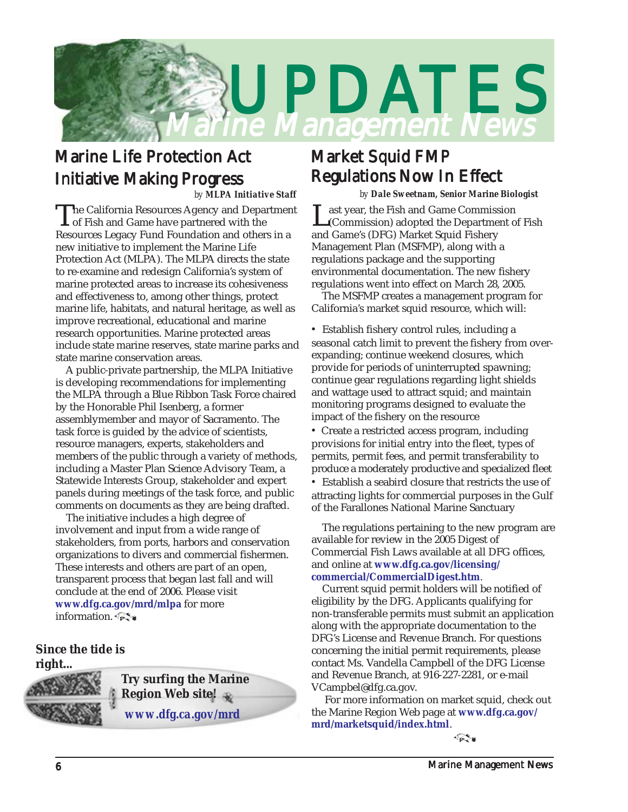<span id="page-5-0"></span>

# **Marine Life Protection Act Initiative Making Progress**

*by MLPA Initiative Staff*

The California Resources Agency and Department<br>
of Fish and Game have partnered with the<br>
Resources Legeau Eural Equipolities and others in a Resources Legacy Fund Foundation and others in a new initiative to implement the Marine Life Protection Act (MLPA). The MLPA directs the state to re-examine and redesign California's system of marine protected areas to increase its cohesiveness and effectiveness to, among other things, protect marine life, habitats, and natural heritage, as well as improve recreational, educational and marine research opportunities. Marine protected areas include state marine reserves, state marine parks and state marine conservation areas.

 A public-private partnership, the MLPA Initiative is developing recommendations for implementing the MLPA through a Blue Ribbon Task Force chaired by the Honorable Phil Isenberg, a former assemblymember and mayor of Sacramento. The task force is guided by the advice of scientists, resource managers, experts, stakeholders and members of the public through a variety of methods, including a Master Plan Science Advisory Team, a Statewide Interests Group, stakeholder and expert panels during meetings of the task force, and public comments on documents as they are being drafted.

 The initiative includes a high degree of involvement and input from a wide range of stakeholders, from ports, harbors and conservation organizations to divers and commercial fishermen. These interests and others are part of an open, transparent process that began last fall and will conclude at the end of 2006. Please visit **<www.dfg.ca.gov/mrd/mlpa>** for more information.

**Since the tide is right...**



*<www.dfg.ca.gov/mrd>* **Try surfing the Marine Region Web site!** 

### Market Squid FMP **Regulations Now In Effect**

*by Dale Sweetnam, Senior Marine Biologist*

Last year, the Fish and Game Commission<br>(Commission) adopted the Department of Fish and Game's (DFG) Market Squid Fishery Management Plan (MSFMP), along with a regulations package and the supporting environmental documentation. The new fishery regulations went into effect on March 28, 2005.

 The MSFMP creates a management program for California's market squid resource, which will:

• Establish fishery control rules, including a seasonal catch limit to prevent the fishery from overexpanding; continue weekend closures, which provide for periods of uninterrupted spawning; continue gear regulations regarding light shields and wattage used to attract squid; and maintain monitoring programs designed to evaluate the impact of the fishery on the resource

• Create a restricted access program, including provisions for initial entry into the fleet, types of permits, permit fees, and permit transferability to produce a moderately productive and specialized fleet

• Establish a seabird closure that restricts the use of attracting lights for commercial purposes in the Gulf of the Farallones National Marine Sanctuary

 The regulations pertaining to the new program are available for review in the 2005 Digest of Commercial Fish Laws available at all DFG offices, and online at **www.dfg.ca.gov/licensing/ [commercial/CommercialDigest.htm](www.dfg.ca.gov/licensing/commercial/CommercialDigest.htm)**.

 Current squid permit holders will be notified of eligibility by the DFG. Applicants qualifying for non-transferable permits must submit an application along with the appropriate documentation to the DFG's License and Revenue Branch. For questions concerning the initial permit requirements, please contact Ms. Vandella Campbell of the DFG License and Revenue Branch, at 916-227-2281, or e-mail VCampbel@dfg.ca.gov.

 For more information on market squid, check out the Marine Region Web page at **www.dfg.ca.gov/ [mrd/marketsquid/index.html](www.dfg.ca.gov/mrd/marketsquid/index.html)**.

 $\leftarrow$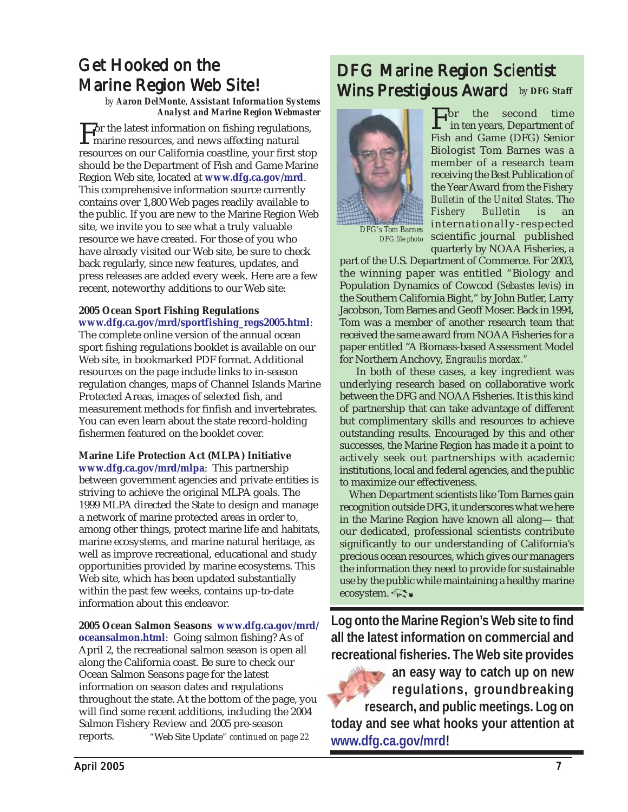# <span id="page-6-0"></span>**Get Hooked on the Marine Region Web Site!**

*by Aaron DelMonte, Assistant Information Systems Analyst and Marine Region Webmaster*

For the latest information on fishing regulations,<br>marine resources, and news affecting natural<br>magazines on our Colifornia sosatiing your first sta resources on our California coastline, your first stop should be the Department of Fish and Game Marine Region Web site, located at **<www.dfg.ca.gov/mrd>**. This comprehensive information source currently contains over 1,800 Web pages readily available to the public. If you are new to the Marine Region Web site, we invite you to see what a truly valuable resource we have created. For those of you who have already visited our Web site, be sure to check back regularly, since new features, updates, and press releases are added every week. Here are a few recent, noteworthy additions to our Web site:

#### **2005 Ocean Sport Fishing Regulations [www.dfg.ca.gov/mrd/sportfishing\\_regs2005.html](www.dfg.ca.gov/mrd/sportfishing_regs2005.html)**:

The complete online version of the annual ocean sport fishing regulations booklet is available on our Web site, in bookmarked PDF format. Additional resources on the page include links to in-season regulation changes, maps of Channel Islands Marine Protected Areas, images of selected fish, and measurement methods for finfish and invertebrates. You can even learn about the state record-holding fishermen featured on the booklet cover.

#### **Marine Life Protection Act (MLPA) Initiative**

**<www.dfg.ca.gov/mrd/mlpa>**: This partnership between government agencies and private entities is striving to achieve the original MLPA goals. The 1999 MLPA directed the State to design and manage a network of marine protected areas in order to, among other things, protect marine life and habitats, marine ecosystems, and marine natural heritage, as well as improve recreational, educational and study opportunities provided by marine ecosystems. This Web site, which has been updated substantially within the past few weeks, contains up-to-date information about this endeavor.

#### **[2005 Ocean Salmon Seasons www.dfg.ca.gov/mrd/](www.dfg.ca.gov/mrd/oceansalmon.html)**

*"*Web Site Update*[" continued on page 22](#page-21-0)* **oceansalmon.html**: Going salmon fishing? As of April 2, the recreational salmon season is open all along the California coast. Be sure to check our Ocean Salmon Seasons page for the latest information on season dates and regulations throughout the state. At the bottom of the page, you will find some recent additions, including the 2004 Salmon Fishery Review and 2005 pre-season reports.

# DFG Marine Region Scientist Wins Prestigious Award *by DFG Staff*



*DFG's Tom Barnes DFG file photo*

For the second time in ten years, Department of Fish and Game (DFG) Senior Biologist Tom Barnes was a member of a research team receiving the Best Publication of the Year Award from the *Fishery Bulletin of the United States*. The *Fishery Bulletin* is an internationally-respected scientific journal published quarterly by NOAA Fisheries, a

part of the U.S. Department of Commerce. For 2003, the winning paper was entitled "Biology and Population Dynamics of Cowcod (*Sebastes levi*s) in the Southern California Bight," by John Butler, Larry Jacobson, Tom Barnes and Geoff Moser. Back in 1994, Tom was a member of another research team that received the same award from NOAA Fisheries for a paper entitled "A Biomass-based Assessment Model for Northern Anchovy, *Engraulis mordax."*

 In both of these cases, a key ingredient was underlying research based on collaborative work between the DFG and NOAA Fisheries. It is this kind of partnership that can take advantage of different but complimentary skills and resources to achieve outstanding results. Encouraged by this and other successes, the Marine Region has made it a point to actively seek out partnerships with academic institutions, local and federal agencies, and the public to maximize our effectiveness.

 When Department scientists like Tom Barnes gain recognition outside DFG, it underscores what we here in the Marine Region have known all along— that our dedicated, professional scientists contribute significantly to our understanding of California's precious ocean resources, which gives our managers the information they need to provide for sustainable use by the public while maintaining a healthy marine ecosystem.

**Log onto the Marine Region's Web site to find all the latest information on commercial and recreational fisheries. The Web site provides**

**an easy way to catch up on new regulations, groundbreaking research, and public meetings. Log on today and see what hooks your attention at [www.dfg.ca.gov/mrd!](www.dfg.ca.gov/mrd)**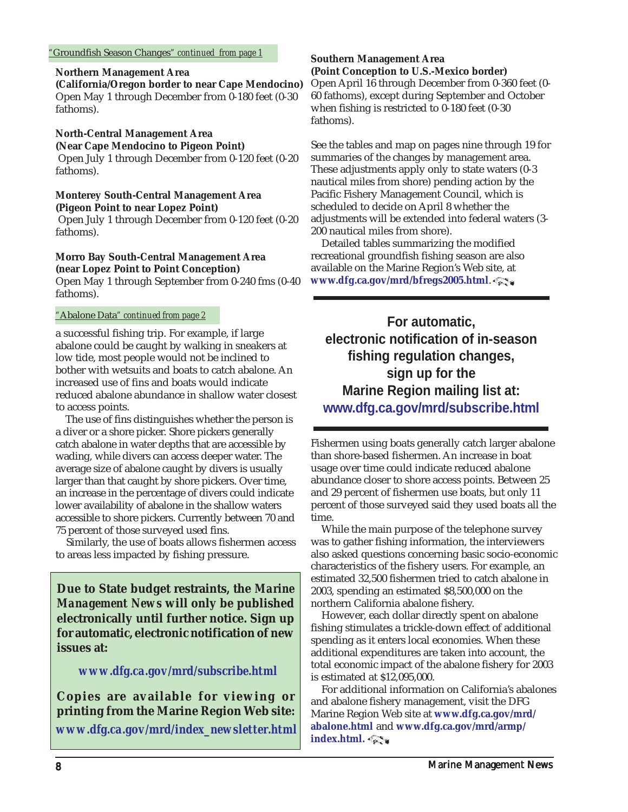#### <span id="page-7-0"></span>**Northern Management Area**

**(California/Oregon border to near Cape Mendocino)** Open May 1 through December from 0-180 feet (0-30 fathoms).

### **North-Central Management Area**

**(Near Cape Mendocino to Pigeon Point)**

 Open July 1 through December from 0-120 feet (0-20 fathoms).

#### **Monterey South-Central Management Area (Pigeon Point to near Lopez Point)**

 Open July 1 through December from 0-120 feet (0-20 fathoms).

#### **Morro Bay South-Central Management Area (near Lopez Point to Point Conception)**

Open May 1 through September from 0-240 fms (0-40 fathoms).

#### *"*Abalone Data*" continued from page 2*

a successful fishing trip. For example, if large abalone could be caught by walking in sneakers at low tide, most people would not be inclined to bother with wetsuits and boats to catch abalone. An increased use of fins and boats would indicate reduced abalone abundance in shallow water closest to access points.

 The use of fins distinguishes whether the person is a diver or a shore picker. Shore pickers generally catch abalone in water depths that are accessible by wading, while divers can access deeper water. The average size of abalone caught by divers is usually larger than that caught by shore pickers. Over time, an increase in the percentage of divers could indicate lower availability of abalone in the shallow waters accessible to shore pickers. Currently between 70 and 75 percent of those surveyed used fins.

 Similarly, the use of boats allows fishermen access to areas less impacted by fishing pressure.

**Due to State budget restraints, the** *Marine Management News* **will only be published electronically until further notice. Sign up for automatic, electronic notification of new issues at:**

#### *<www.dfg.ca.gov/mrd/subscribe.html>*

**Copies are available for viewing or printing from the Marine Region Web site:** *[www.dfg.ca.gov/mrd/index\\_newsletter.html](www.dfg.ca.gov/mrd/index_newsletter.html)*

#### **Southern Management Area (Point Conception to U.S.-Mexico border)** Open April 16 through December from 0-360 feet (0- 60 fathoms), except during September and October when fishing is restricted to 0-180 feet (0-30

fathoms).

See the tables and map on pages nine through 19 for summaries of the changes by management area. These adjustments apply only to state waters (0-3 nautical miles from shore) pending action by the Pacific Fishery Management Council, which is scheduled to decide on April 8 whether the adjustments will be extended into federal waters (3- 200 nautical miles from shore).

 Detailed tables summarizing the modified recreational groundfish fishing season are also available on the Marine Region's Web site, at **<www.dfg.ca.gov/mrd/bfregs2005.html>**.

**For automatic, electronic notification of in-season fishing regulation changes, sign up for the Marine Region mailing list at: <www.dfg.ca.gov/mrd/subscribe.html>**

Fishermen using boats generally catch larger abalone than shore-based fishermen. An increase in boat usage over time could indicate reduced abalone abundance closer to shore access points. Between 25 and 29 percent of fishermen use boats, but only 11 percent of those surveyed said they used boats all the time.

 While the main purpose of the telephone survey was to gather fishing information, the interviewers also asked questions concerning basic socio-economic characteristics of the fishery users. For example, an estimated 32,500 fishermen tried to catch abalone in 2003, spending an estimated \$8,500,000 on the northern California abalone fishery.

 However, each dollar directly spent on abalone fishing stimulates a trickle-down effect of additional spending as it enters local economies. When these additional expenditures are taken into account, the total economic impact of the abalone fishery for 2003 is estimated at \$12,095,000.

 For additional information on California's abalones and abalone fishery management, visit the DFG [Marine Region Web site at](www.dfg.ca.gov/mrd/abalone.html) **www.dfg.ca.gov/mrd/ abalone.html** and **[www.dfg.ca.gov/mrd/armp/](www.dfg.ca.gov/mrd/armp/index.html) index.html.**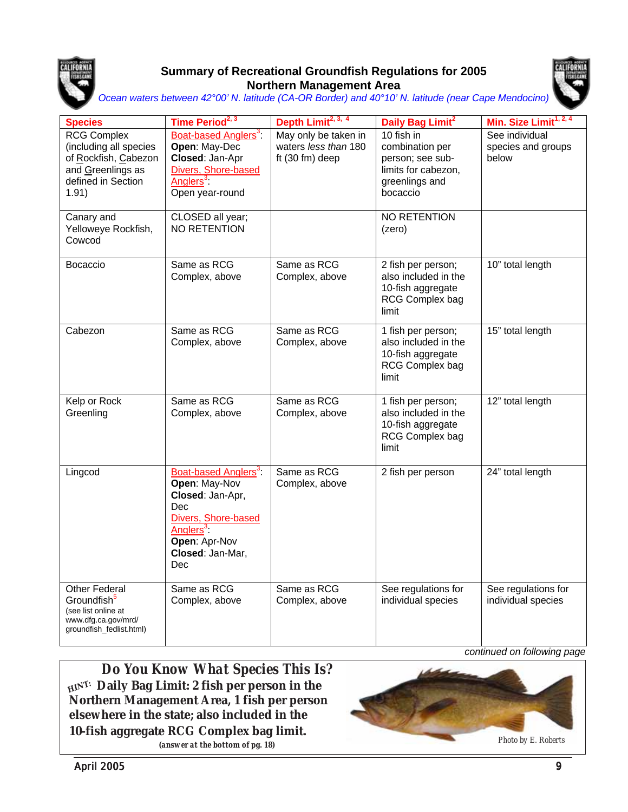

#### **Summary of Recreational Groundfish Regulations for 2005 Northern Management Area**



*Ocean waters between 42°00' N. latitude (CA-OR Border) and 40°10' N. latitude (near Cape Mendocino)* 

| <b>Species</b>                                                                                                           | Time Period <sup>2, 3</sup>                                                                                                                                              | Depth Limit <sup>2, 3, 4</sup>                                    | Daily Bag Limit <sup>2</sup>                                                                           | Min. Size Limit <sup>1, 2, 4</sup>            |
|--------------------------------------------------------------------------------------------------------------------------|--------------------------------------------------------------------------------------------------------------------------------------------------------------------------|-------------------------------------------------------------------|--------------------------------------------------------------------------------------------------------|-----------------------------------------------|
| <b>RCG Complex</b><br>(including all species<br>of Rockfish, Cabezon<br>and Greenlings as<br>defined in Section<br>1.91) | Boat-based Anglers <sup>3</sup> .<br>Open: May-Dec<br>Closed: Jan-Apr<br>Divers, Shore-based<br>Anglers <sup>3</sup><br>Open year-round                                  | May only be taken in<br>waters less than 180<br>ft $(30 fm)$ deep | 10 fish in<br>combination per<br>person; see sub-<br>limits for cabezon,<br>greenlings and<br>bocaccio | See individual<br>species and groups<br>below |
| Canary and<br>Yelloweye Rockfish,<br>Cowcod                                                                              | CLOSED all year;<br>NO RETENTION                                                                                                                                         |                                                                   | NO RETENTION<br>(zero)                                                                                 |                                               |
| Bocaccio                                                                                                                 | Same as RCG<br>Complex, above                                                                                                                                            | Same as RCG<br>Complex, above                                     | 2 fish per person;<br>also included in the<br>10-fish aggregate<br>RCG Complex bag<br>limit            | 10" total length                              |
| Cabezon                                                                                                                  | Same as RCG<br>Complex, above                                                                                                                                            | Same as RCG<br>Complex, above                                     | 1 fish per person;<br>also included in the<br>10-fish aggregate<br>RCG Complex bag<br>limit            | 15" total length                              |
| Kelp or Rock<br>Greenling                                                                                                | Same as RCG<br>Complex, above                                                                                                                                            | Same as RCG<br>Complex, above                                     | 1 fish per person;<br>also included in the<br>10-fish aggregate<br>RCG Complex bag<br>limit            | 12" total length                              |
| Lingcod                                                                                                                  | Boat-based Anglers <sup>3</sup> :<br>Open: May-Nov<br>Closed: Jan-Apr,<br>Dec<br>Divers, Shore-based<br>Anglers <sup>3</sup><br>Open: Apr-Nov<br>Closed: Jan-Mar,<br>Dec | Same as RCG<br>Complex, above                                     | 2 fish per person                                                                                      | 24" total length                              |
| Other Federal<br>Groundfish <sup>5</sup><br>(see list online at<br>www.dfg.ca.gov/mrd/<br>groundfish_fedlist.html)       | Same as RCG<br>Complex, above                                                                                                                                            | Same as RCG<br>Complex, above                                     | See regulations for<br>individual species                                                              | See regulations for<br>individual species     |

*Do You Know What Species This Is?*  **Daily Bag Limit: 2 fish per person in the HINT:Northern Management Area, 1 fish per person elsewhere in the state; also included in the 10-fish aggregate RCG Complex bag limit.**

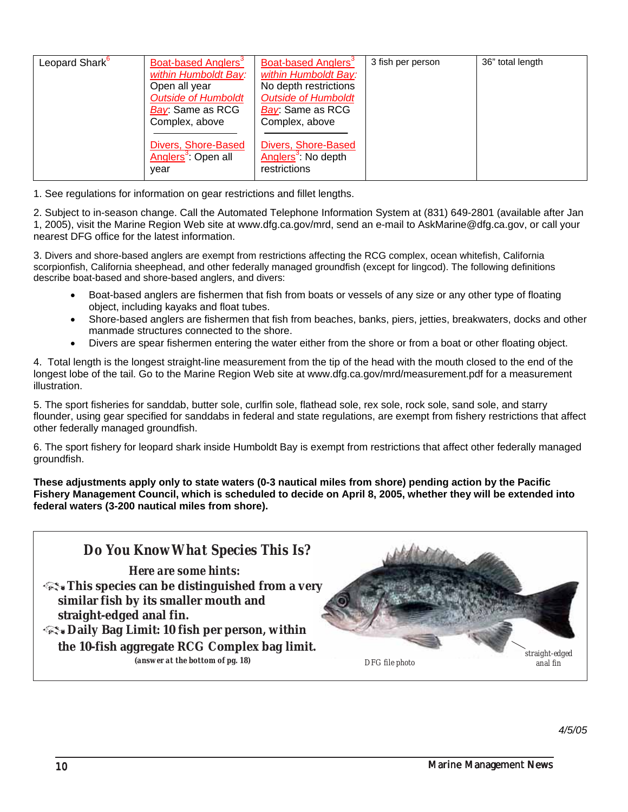| Leopard Shark <sup>6</sup> | Boat-based Anglers <sup>3</sup> | Boat-based Anglers <sup>3</sup> | 3 fish per person | 36" total length |
|----------------------------|---------------------------------|---------------------------------|-------------------|------------------|
|                            | within Humboldt Bay:            | within Humboldt Bay:            |                   |                  |
|                            | Open all year                   | No depth restrictions           |                   |                  |
|                            | <b>Outside of Humboldt</b>      | <b>Outside of Humboldt</b>      |                   |                  |
|                            | Bay: Same as RCG                | Bay: Same as RCG                |                   |                  |
|                            | Complex, above                  | Complex, above                  |                   |                  |
|                            |                                 |                                 |                   |                  |
|                            | Divers, Shore-Based             | Divers, Shore-Based             |                   |                  |
|                            | Anglers <sup>3</sup> : Open all | Anglers <sup>3</sup> : No depth |                   |                  |
|                            | year                            | restrictions                    |                   |                  |
|                            |                                 |                                 |                   |                  |

2. Subject to in-season change. Call the Automated Telephone Information System at (831) 649-2801 (available after Jan 1, 2005), visit the Marine Region Web site at www.dfg.ca.gov/mrd, send an e-mail to AskMarine@dfg.ca.gov, or call your nearest DFG office for the latest information.

3. Divers and shore-based anglers are exempt from restrictions affecting the RCG complex, ocean whitefish, California scorpionfish, California sheephead, and other federally managed groundfish (except for lingcod). The following definitions describe boat-based and shore-based anglers, and divers:

- Boat-based anglers are fishermen that fish from boats or vessels of any size or any other type of floating object, including kayaks and float tubes.
- Shore-based anglers are fishermen that fish from beaches, banks, piers, jetties, breakwaters, docks and other manmade structures connected to the shore.
- Divers are spear fishermen entering the water either from the shore or from a boat or other floating object.

4. Total length is the longest straight-line measurement from the tip of the head with the mouth closed to the end of the longest lobe of the tail. Go to the Marine Region Web site at www.dfg.ca.gov/mrd/measurement.pdf for a measurement illustration.

5. The sport fisheries for sanddab, butter sole, curlfin sole, flathead sole, rex sole, rock sole, sand sole, and starry flounder, using gear specified for sanddabs in federal and state regulations, are exempt from fishery restrictions that affect other federally managed groundfish.

6. The sport fishery for leopard shark inside Humboldt Bay is exempt from restrictions that affect other federally managed groundfish.

**These adjustments apply only to state waters (0-3 nautical miles from shore) pending action by the Pacific Fishery Management Council, which is scheduled to decide on April 8, 2005, whether they will be extended into federal waters (3-200 nautical miles from shore).**

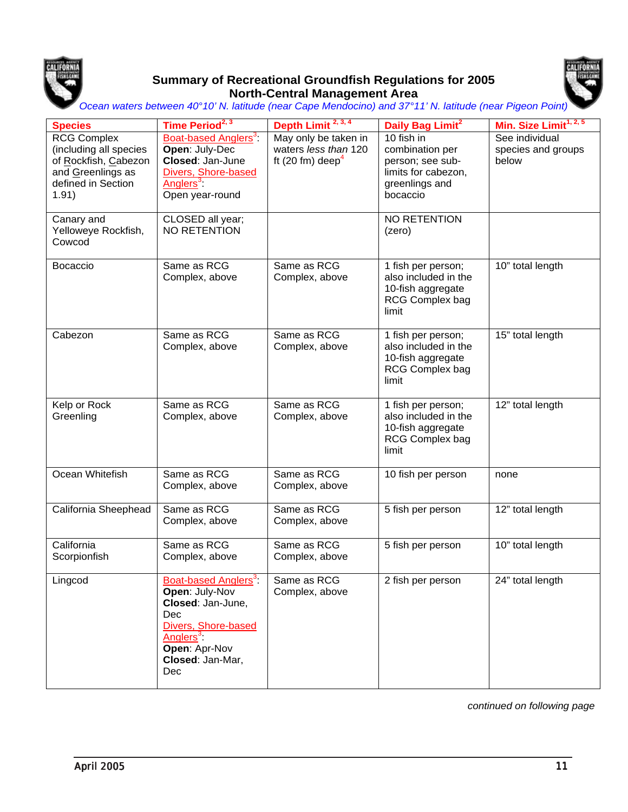

#### **Summary of Recreational Groundfish Regulations for 2005 North-Central Management Area**



*Ocean waters between 40°10' N. latitude (near Cape Mendocino) and 37°11' N. latitude (near Pigeon Point)*

| <b>Species</b>                                                                                                                         | Time Period <sup>2, 3</sup>                                                                                                                                                | Depth Limit <sup>2, 3, 4</sup>                                      | Daily Bag Limit <sup>2</sup>                                                                                           | Min. Size Limit <sup>1, 2, 5</sup>            |
|----------------------------------------------------------------------------------------------------------------------------------------|----------------------------------------------------------------------------------------------------------------------------------------------------------------------------|---------------------------------------------------------------------|------------------------------------------------------------------------------------------------------------------------|-----------------------------------------------|
| <b>RCG Complex</b><br>(including all species<br>of Rockfish, Cabezon<br>and Greenlings as<br>defined in Section<br>1.91)<br>Canary and | Boat-based Anglers <sup>3</sup> :<br>Open: July-Dec<br>Closed: Jan-June<br>Divers, Shore-based<br>Anglers <sup>3</sup> :<br>Open year-round<br>CLOSED all year;            | May only be taken in<br>waters less than 120<br>ft (20 fm) deep $4$ | 10 fish in<br>combination per<br>person; see sub-<br>limits for cabezon,<br>greenlings and<br>bocaccio<br>NO RETENTION | See individual<br>species and groups<br>below |
| Yelloweye Rockfish,<br>Cowcod                                                                                                          | <b>NO RETENTION</b>                                                                                                                                                        |                                                                     | (zero)                                                                                                                 |                                               |
| Bocaccio                                                                                                                               | Same as RCG<br>Complex, above                                                                                                                                              | Same as RCG<br>Complex, above                                       | 1 fish per person;<br>also included in the<br>10-fish aggregate<br>RCG Complex bag<br>limit                            | 10" total length                              |
| Cabezon                                                                                                                                | Same as RCG<br>Complex, above                                                                                                                                              | Same as RCG<br>Complex, above                                       | 1 fish per person;<br>also included in the<br>10-fish aggregate<br>RCG Complex bag<br>limit                            | 15" total length                              |
| Kelp or Rock<br>Greenling                                                                                                              | Same as RCG<br>Complex, above                                                                                                                                              | Same as RCG<br>Complex, above                                       | 1 fish per person;<br>also included in the<br>10-fish aggregate<br>RCG Complex bag<br>limit                            | 12" total length                              |
| Ocean Whitefish                                                                                                                        | Same as RCG<br>Complex, above                                                                                                                                              | Same as RCG<br>Complex, above                                       | 10 fish per person                                                                                                     | none                                          |
| California Sheephead                                                                                                                   | Same as RCG<br>Complex, above                                                                                                                                              | Same as RCG<br>Complex, above                                       | 5 fish per person                                                                                                      | 12" total length                              |
| California<br>Scorpionfish                                                                                                             | Same as RCG<br>Complex, above                                                                                                                                              | Same as RCG<br>Complex, above                                       | 5 fish per person                                                                                                      | 10" total length                              |
| Lingcod                                                                                                                                | Boat-based Anglers <sup>3</sup><br>Open: July-Nov<br>Closed: Jan-June,<br>Dec<br>Divers, Shore-based<br>Anglers <sup>3</sup> :<br>Open: Apr-Nov<br>Closed: Jan-Mar,<br>Dec | Same as RCG<br>Complex, above                                       | 2 fish per person                                                                                                      | 24" total length                              |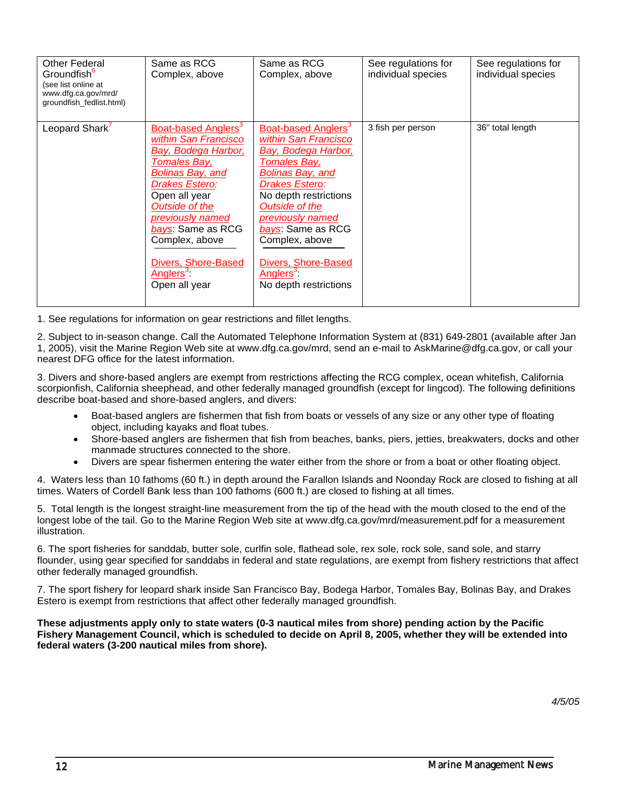| <b>Other Federal</b><br>Groundfish <sup>6</sup><br>(see list online at<br>www.dfg.ca.gov/mrd/<br>groundfish_fedlist.html) | Same as RCG<br>Complex, above                                                                                                                                                                                                                                                                               | Same as RCG<br>Complex, above                                                                                                                                                                                                                                                                                                      | See regulations for<br>individual species | See regulations for<br>individual species |
|---------------------------------------------------------------------------------------------------------------------------|-------------------------------------------------------------------------------------------------------------------------------------------------------------------------------------------------------------------------------------------------------------------------------------------------------------|------------------------------------------------------------------------------------------------------------------------------------------------------------------------------------------------------------------------------------------------------------------------------------------------------------------------------------|-------------------------------------------|-------------------------------------------|
| Leopard Shark <sup>7</sup>                                                                                                | Boat-based Anglers <sup>3</sup><br>within San Francisco<br>Bay, Bodega Harbor,<br>Tomales Bay,<br><b>Bolinas Bay, and</b><br>Drakes Estero:<br>Open all year<br>Outside of the<br>previously named<br>bays: Same as RCG<br>Complex, above<br>Divers, Shore-Based<br>Anglers <sup>3</sup> :<br>Open all year | Boat-based Anglers <sup>3</sup><br>within San Francisco<br>Bay, Bodega Harbor,<br>Tomales Bay,<br><b>Bolinas Bay, and</b><br><b>Drakes Estero:</b><br>No depth restrictions<br>Outside of the<br>previously named<br>bays: Same as RCG<br>Complex, above<br>Divers, Shore-Based<br>Anglers <sup>3</sup> :<br>No depth restrictions | 3 fish per person                         | 36" total length                          |

2. Subject to in-season change. Call the Automated Telephone Information System at (831) 649-2801 (available after Jan 1, 2005), visit the Marine Region Web site at www.dfg.ca.gov/mrd, send an e-mail to AskMarine@dfg.ca.gov, or call your nearest DFG office for the latest information.

3. Divers and shore-based anglers are exempt from restrictions affecting the RCG complex, ocean whitefish, California scorpionfish, California sheephead, and other federally managed groundfish (except for lingcod). The following definitions describe boat-based and shore-based anglers, and divers:

- Boat-based anglers are fishermen that fish from boats or vessels of any size or any other type of floating object, including kayaks and float tubes.
- Shore-based anglers are fishermen that fish from beaches, banks, piers, jetties, breakwaters, docks and other manmade structures connected to the shore.
- Divers are spear fishermen entering the water either from the shore or from a boat or other floating object.

4. Waters less than 10 fathoms (60 ft.) in depth around the Farallon Islands and Noonday Rock are closed to fishing at all times. Waters of Cordell Bank less than 100 fathoms (600 ft.) are closed to fishing at all times.

5. Total length is the longest straight-line measurement from the tip of the head with the mouth closed to the end of the longest lobe of the tail. Go to the Marine Region Web site at www.dfg.ca.gov/mrd/measurement.pdf for a measurement illustration.

6. The sport fisheries for sanddab, butter sole, curlfin sole, flathead sole, rex sole, rock sole, sand sole, and starry flounder, using gear specified for sanddabs in federal and state regulations, are exempt from fishery restrictions that affect other federally managed groundfish.

7. The sport fishery for leopard shark inside San Francisco Bay, Bodega Harbor, Tomales Bay, Bolinas Bay, and Drakes Estero is exempt from restrictions that affect other federally managed groundfish.

**These adjustments apply only to state waters (0-3 nautical miles from shore) pending action by the Pacific Fishery Management Council, which is scheduled to decide on April 8, 2005, whether they will be extended into federal waters (3-200 nautical miles from shore).**

*4/5/05*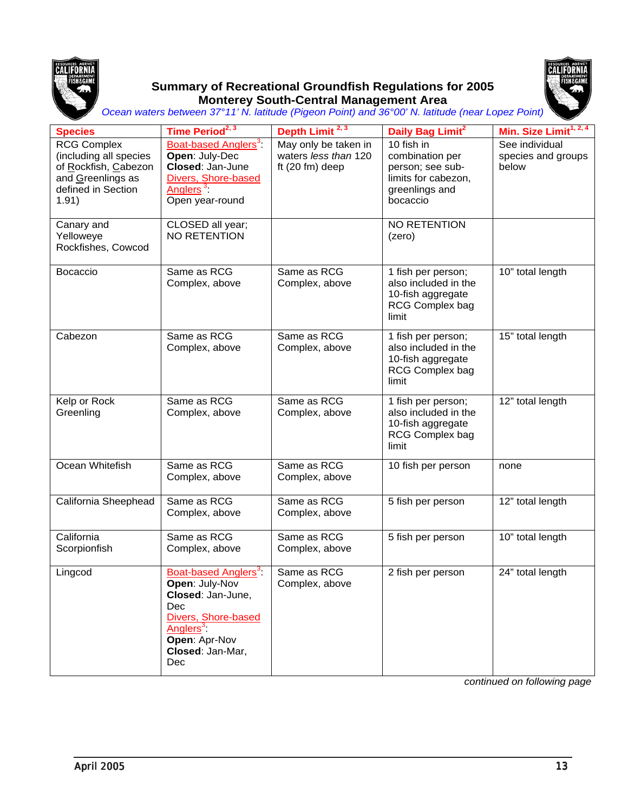

#### **Summary of Recreational Groundfish Regulations for 2005 Monterey South-Central Management Area**



*Ocean waters between 37°11' N. latitude (Pigeon Point) and 36°00' N. latitude (near Lopez Point)*

| <b>Species</b>                                                                                                           | Time Period <sup>2, 3</sup>                                                                                                                                                           | Depth Limit <sup>2, 3</sup>                                       | Daily Bag Limit <sup>2</sup>                                                                           | Min. Size Limit <sup>1, 2, 4</sup>            |
|--------------------------------------------------------------------------------------------------------------------------|---------------------------------------------------------------------------------------------------------------------------------------------------------------------------------------|-------------------------------------------------------------------|--------------------------------------------------------------------------------------------------------|-----------------------------------------------|
| <b>RCG Complex</b><br>(including all species<br>of Rockfish, Cabezon<br>and Greenlings as<br>defined in Section<br>1.91) | Boat-based Anglers <sup>3</sup><br>Open: July-Dec<br>Closed: Jan-June<br>Divers, Shore-based<br>Anglers <sup>3</sup> :<br>Open year-round                                             | May only be taken in<br>waters less than 120<br>ft $(20 fm)$ deep | 10 fish in<br>combination per<br>person; see sub-<br>limits for cabezon,<br>greenlings and<br>bocaccio | See individual<br>species and groups<br>below |
| Canary and<br>Yelloweye<br>Rockfishes, Cowcod                                                                            | CLOSED all year;<br><b>NO RETENTION</b>                                                                                                                                               |                                                                   | NO RETENTION<br>(zero)                                                                                 |                                               |
| Bocaccio                                                                                                                 | Same as RCG<br>Complex, above                                                                                                                                                         | Same as RCG<br>Complex, above                                     | 1 fish per person;<br>also included in the<br>10-fish aggregate<br><b>RCG Complex bag</b><br>limit     | 10" total length                              |
| Cabezon                                                                                                                  | Same as RCG<br>Complex, above                                                                                                                                                         | Same as RCG<br>Complex, above                                     | 1 fish per person;<br>also included in the<br>10-fish aggregate<br>RCG Complex bag<br>limit            | 15" total length                              |
| Kelp or Rock<br>Greenling                                                                                                | Same as RCG<br>Complex, above                                                                                                                                                         | Same as RCG<br>Complex, above                                     | 1 fish per person;<br>also included in the<br>10-fish aggregate<br><b>RCG Complex bag</b><br>limit     | 12" total length                              |
| Ocean Whitefish                                                                                                          | Same as RCG<br>Complex, above                                                                                                                                                         | Same as RCG<br>Complex, above                                     | 10 fish per person                                                                                     | none                                          |
| California Sheephead                                                                                                     | Same as RCG<br>Complex, above                                                                                                                                                         | Same as RCG<br>Complex, above                                     | 5 fish per person                                                                                      | 12" total length                              |
| California<br>Scorpionfish                                                                                               | Same as RCG<br>Complex, above                                                                                                                                                         | Same as RCG<br>Complex, above                                     | 5 fish per person                                                                                      | 10" total length                              |
| Lingcod                                                                                                                  | <b>Boat-based Anglers<sup>3</sup></b><br>Open: July-Nov<br>Closed: Jan-June,<br>Dec<br>Divers, Shore-based<br>Anglers <sup>3</sup><br>Open: Apr-Nov<br>Closed: Jan-Mar,<br><b>Dec</b> | Same as RCG<br>Complex, above                                     | 2 fish per person                                                                                      | 24" total length                              |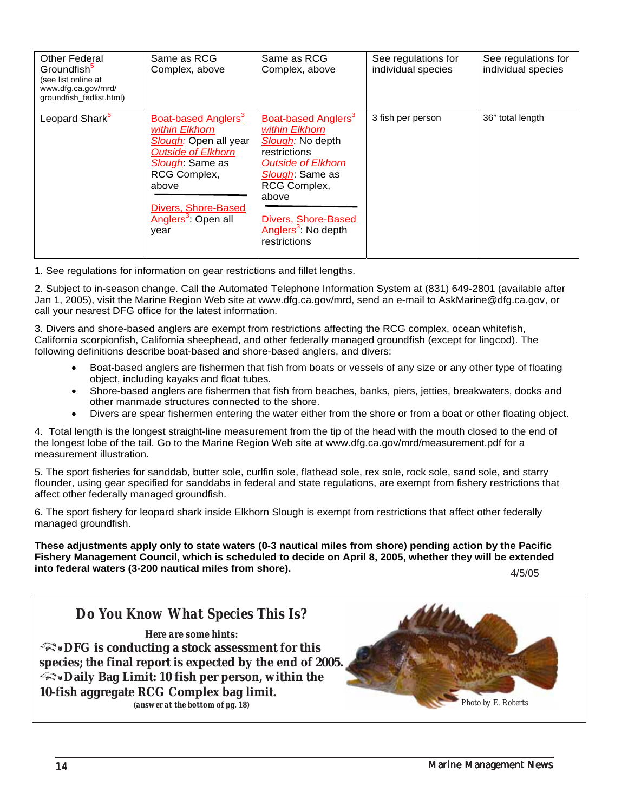| <b>Other Federal</b><br>Groundfish <sup>3</sup><br>(see list online at<br>www.dfg.ca.gov/mrd/<br>groundfish_fedlist.html) | Same as RCG<br>Complex, above                                                                                                                                                                                         | Same as RCG<br>Complex, above                                                                                                                                                                                                            | See regulations for<br>individual species | See regulations for<br>individual species |
|---------------------------------------------------------------------------------------------------------------------------|-----------------------------------------------------------------------------------------------------------------------------------------------------------------------------------------------------------------------|------------------------------------------------------------------------------------------------------------------------------------------------------------------------------------------------------------------------------------------|-------------------------------------------|-------------------------------------------|
| Leopard Shark <sup>6</sup>                                                                                                | Boat-based Anglers <sup>3</sup><br>within Elkhorn<br>Slough: Open all year<br><b>Outside of Elkhorn</b><br>Slough: Same as<br>RCG Complex,<br>above<br>Divers, Shore-Based<br>Anglers <sup>3</sup> : Open all<br>year | Boat-based Anglers <sup>3</sup><br>within Elkhorn<br>Slough: No depth<br>restrictions<br><b>Outside of Elkhorn</b><br>Slough: Same as<br>RCG Complex,<br>above<br>Divers, Shore-Based<br>Anglers <sup>3</sup> : No depth<br>restrictions | 3 fish per person                         | 36" total length                          |

2. Subject to in-season change. Call the Automated Telephone Information System at (831) 649-2801 (available after Jan 1, 2005), visit the Marine Region Web site at www.dfg.ca.gov/mrd, send an e-mail to AskMarine@dfg.ca.gov, or call your nearest DFG office for the latest information.

3. Divers and shore-based anglers are exempt from restrictions affecting the RCG complex, ocean whitefish, California scorpionfish, California sheephead, and other federally managed groundfish (except for lingcod). The following definitions describe boat-based and shore-based anglers, and divers:

- Boat-based anglers are fishermen that fish from boats or vessels of any size or any other type of floating object, including kayaks and float tubes.
- Shore-based anglers are fishermen that fish from beaches, banks, piers, jetties, breakwaters, docks and other manmade structures connected to the shore.
- Divers are spear fishermen entering the water either from the shore or from a boat or other floating object.

4. Total length is the longest straight-line measurement from the tip of the head with the mouth closed to the end of the longest lobe of the tail. Go to the Marine Region Web site at www.dfg.ca.gov/mrd/measurement.pdf for a measurement illustration.

5. The sport fisheries for sanddab, butter sole, curlfin sole, flathead sole, rex sole, rock sole, sand sole, and starry flounder, using gear specified for sanddabs in federal and state regulations, are exempt from fishery restrictions that affect other federally managed groundfish.

6. The sport fishery for leopard shark inside Elkhorn Slough is exempt from restrictions that affect other federally managed groundfish.

**These adjustments apply only to state waters (0-3 nautical miles from shore) pending action by the Pacific Fishery Management Council, which is scheduled to decide on April 8, 2005, whether they will be extended into federal waters (3-200 nautical miles from shore).** 4/5/05

*4/5/05* 

### *Here are some hints:*

*EX* **DFG is conducting a stock assessment for this species; the final report is expected by the end of 2005. EX** Daily Bag Limit: 10 fish per person, within the **10-fish aggregate RCG Complex bag limit.** *(answer at the bottom of pg. 18) Photo by E. Roberts*

*Do You Know What Species This Is?*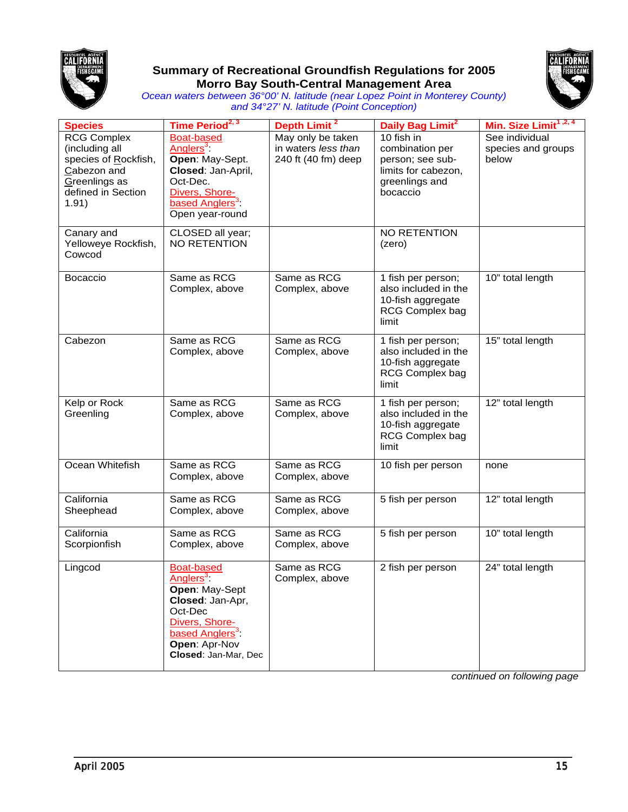

#### **Summary of Recreational Groundfish Regulations for 2005 Morro Bay South-Central Management Area**



*Ocean waters between 36°00' N. latitude (near Lopez Point in Monterey County) and 34°27' N. latitude (Point Conception)*

| <b>Species</b>                                                                                                              | Time Period <sup>2, 3</sup>                                                                                                                                                           | Depth Limit <sup>2</sup>                                        | Daily Bag Limit <sup>2</sup>                                                                           | Min. Size Limit <sup>1,2,4</sup>              |
|-----------------------------------------------------------------------------------------------------------------------------|---------------------------------------------------------------------------------------------------------------------------------------------------------------------------------------|-----------------------------------------------------------------|--------------------------------------------------------------------------------------------------------|-----------------------------------------------|
| <b>RCG Complex</b><br>(including all<br>species of Rockfish,<br>Cabezon and<br>Greenlings as<br>defined in Section<br>1.91) | <b>Boat-based</b><br>Anglers <sup>3</sup> :<br>Open: May-Sept.<br>Closed: Jan-April,<br>Oct-Dec.<br>Divers, Shore-<br>based Anglers <sup>3</sup> :<br>Open year-round                 | May only be taken<br>in waters less than<br>240 ft (40 fm) deep | 10 fish in<br>combination per<br>person; see sub-<br>limits for cabezon,<br>greenlings and<br>bocaccio | See individual<br>species and groups<br>below |
| Canary and<br>Yelloweye Rockfish,<br>Cowcod                                                                                 | CLOSED all year;<br>NO RETENTION                                                                                                                                                      |                                                                 | <b>NO RETENTION</b><br>(zero)                                                                          |                                               |
| Bocaccio                                                                                                                    | Same as RCG<br>Complex, above                                                                                                                                                         | Same as RCG<br>Complex, above                                   | 1 fish per person;<br>also included in the<br>10-fish aggregate<br><b>RCG Complex bag</b><br>limit     | 10" total length                              |
| Cabezon                                                                                                                     | Same as RCG<br>Complex, above                                                                                                                                                         | Same as RCG<br>Complex, above                                   | 1 fish per person;<br>also included in the<br>10-fish aggregate<br><b>RCG Complex bag</b><br>limit     | 15" total length                              |
| Kelp or Rock<br>Greenling                                                                                                   | Same as RCG<br>Complex, above                                                                                                                                                         | Same as RCG<br>Complex, above                                   | 1 fish per person;<br>also included in the<br>10-fish aggregate<br>RCG Complex bag<br>limit            | 12" total length                              |
| Ocean Whitefish                                                                                                             | Same as RCG<br>Complex, above                                                                                                                                                         | Same as RCG<br>Complex, above                                   | 10 fish per person                                                                                     | none                                          |
| California<br>Sheephead                                                                                                     | Same as RCG<br>Complex, above                                                                                                                                                         | Same as RCG<br>Complex, above                                   | 5 fish per person                                                                                      | 12" total length                              |
| California<br>Scorpionfish                                                                                                  | Same as RCG<br>Complex, above                                                                                                                                                         | Same as RCG<br>Complex, above                                   | 5 fish per person                                                                                      | 10" total length                              |
| Lingcod                                                                                                                     | <b>Boat-based</b><br>Anglers <sup>3</sup><br>Open: May-Sept<br>Closed: Jan-Apr,<br>Oct-Dec<br>Divers, Shore-<br>based Anglers <sup>3</sup> :<br>Open: Apr-Nov<br>Closed: Jan-Mar, Dec | Same as RCG<br>Complex, above                                   | 2 fish per person                                                                                      | 24" total length                              |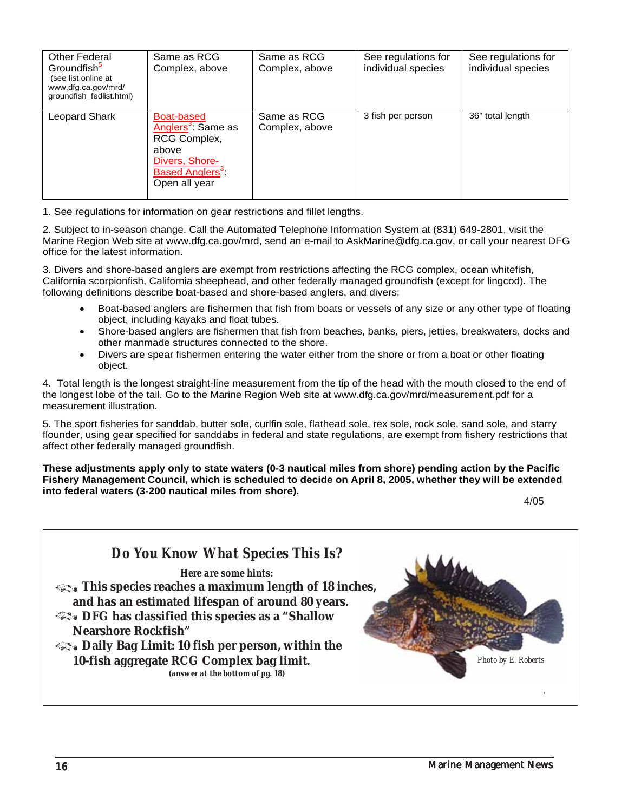| <b>Other Federal</b><br>Groundfish <sup>5</sup><br>(see list online at<br>www.dfg.ca.gov/mrd/<br>groundfish_fedlist.html) | Same as RCG<br>Complex, above                                                                                                                          | Same as RCG<br>Complex, above | See regulations for<br>individual species | See regulations for<br>individual species |
|---------------------------------------------------------------------------------------------------------------------------|--------------------------------------------------------------------------------------------------------------------------------------------------------|-------------------------------|-------------------------------------------|-------------------------------------------|
| Leopard Shark                                                                                                             | <b>Boat-based</b><br>Anglers <sup>3</sup> : Same as<br>RCG Complex,<br>above<br>Divers, Shore-<br><b>Based Anglers</b> <sup>3</sup> :<br>Open all year | Same as RCG<br>Complex, above | 3 fish per person                         | 36" total length                          |

2. Subject to in-season change. Call the Automated Telephone Information System at (831) 649-2801, visit the Marine Region Web site at www.dfg.ca.gov/mrd, send an e-mail to AskMarine@dfg.ca.gov, or call your nearest DFG office for the latest information.

3. Divers and shore-based anglers are exempt from restrictions affecting the RCG complex, ocean whitefish, California scorpionfish, California sheephead, and other federally managed groundfish (except for lingcod). The following definitions describe boat-based and shore-based anglers, and divers:

- Boat-based anglers are fishermen that fish from boats or vessels of any size or any other type of floating object, including kayaks and float tubes.
- Shore-based anglers are fishermen that fish from beaches, banks, piers, jetties, breakwaters, docks and other manmade structures connected to the shore.
- Divers are spear fishermen entering the water either from the shore or from a boat or other floating object.

4. Total length is the longest straight-line measurement from the tip of the head with the mouth closed to the end of the longest lobe of the tail. Go to the Marine Region Web site at www.dfg.ca.gov/mrd/measurement.pdf for a measurement illustration.

5. The sport fisheries for sanddab, butter sole, curlfin sole, flathead sole, rex sole, rock sole, sand sole, and starry flounder, using gear specified for sanddabs in federal and state regulations, are exempt from fishery restrictions that affect other federally managed groundfish.

**These adjustments apply only to state waters (0-3 nautical miles from shore) pending action by the Pacific Fishery Management Council, which is scheduled to decide on April 8, 2005, whether they will be extended into federal waters (3-200 nautical miles from shore).**

4/05

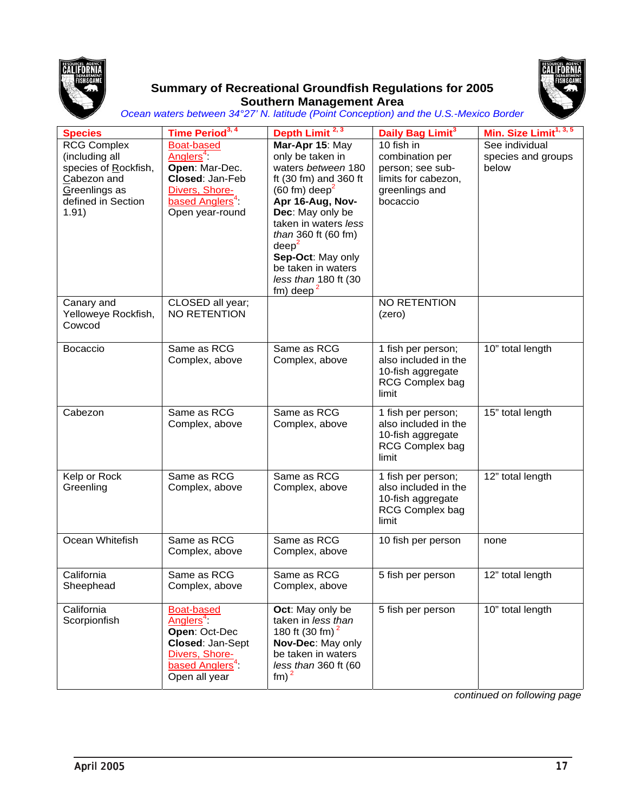

#### **Summary of Recreational Groundfish Regulations for 2005 Southern Management Area**



*Ocean waters between 34°27' N. latitude (Point Conception) and the U.S.-Mexico Border*

| <b>Species</b>                                                                                                              | Time Period <sup>3, 4</sup>                                                                                                                         | Depth Limit <sup>2, 3</sup>                                                                                                                                                                                                                                                                                                     | Daily Bag Limit <sup>3</sup>                                                                           | Min. Size Limit <sup>1, 3, 5</sup>            |
|-----------------------------------------------------------------------------------------------------------------------------|-----------------------------------------------------------------------------------------------------------------------------------------------------|---------------------------------------------------------------------------------------------------------------------------------------------------------------------------------------------------------------------------------------------------------------------------------------------------------------------------------|--------------------------------------------------------------------------------------------------------|-----------------------------------------------|
| <b>RCG Complex</b><br>(including all<br>species of Rockfish,<br>Cabezon and<br>Greenlings as<br>defined in Section<br>1.91) | <b>Boat-based</b><br>Anglers <sup>4</sup> :<br>Open: Mar-Dec.<br>Closed: Jan-Feb<br>Divers, Shore-<br>based Anglers <sup>4</sup><br>Open year-round | Mar-Apr 15: May<br>only be taken in<br>waters between 180<br>ft (30 fm) and 360 ft<br>$(60 \text{ fm}) \text{ deep}^2$<br>Apr 16-Aug, Nov-<br>Dec: May only be<br>taken in waters less<br>than 360 ft (60 fm)<br>$\text{deep}^2$<br>Sep-Oct: May only<br>be taken in waters<br>less than 180 ft (30<br>$f$ m) deep <sup>2</sup> | 10 fish in<br>combination per<br>person; see sub-<br>limits for cabezon,<br>greenlings and<br>bocaccio | See individual<br>species and groups<br>below |
| Canary and<br>Yelloweye Rockfish,<br>Cowcod                                                                                 | CLOSED all year;<br>NO RETENTION                                                                                                                    |                                                                                                                                                                                                                                                                                                                                 | NO RETENTION<br>(zero)                                                                                 |                                               |
| <b>Bocaccio</b>                                                                                                             | Same as RCG<br>Complex, above                                                                                                                       | Same as RCG<br>Complex, above                                                                                                                                                                                                                                                                                                   | 1 fish per person;<br>also included in the<br>10-fish aggregate<br>RCG Complex bag<br>limit            | 10" total length                              |
| Cabezon                                                                                                                     | Same as RCG<br>Complex, above                                                                                                                       | Same as RCG<br>Complex, above                                                                                                                                                                                                                                                                                                   | 1 fish per person;<br>also included in the<br>10-fish aggregate<br><b>RCG Complex bag</b><br>limit     | 15" total length                              |
| Kelp or Rock<br>Greenling                                                                                                   | Same as RCG<br>Complex, above                                                                                                                       | Same as RCG<br>Complex, above                                                                                                                                                                                                                                                                                                   | 1 fish per person;<br>also included in the<br>10-fish aggregate<br><b>RCG Complex bag</b><br>limit     | 12" total length                              |
| Ocean Whitefish                                                                                                             | Same as RCG<br>Complex, above                                                                                                                       | Same as RCG<br>Complex, above                                                                                                                                                                                                                                                                                                   | 10 fish per person                                                                                     | none                                          |
| California<br>Sheephead                                                                                                     | Same as RCG<br>Complex, above                                                                                                                       | Same as RCG<br>Complex, above                                                                                                                                                                                                                                                                                                   | 5 fish per person                                                                                      | 12" total length                              |
| California<br>Scorpionfish                                                                                                  | Boat-based<br>Anglers <sup>4</sup><br>Open: Oct-Dec<br>Closed: Jan-Sept<br>Divers, Shore-<br>based Anglers <sup>4</sup> :<br>Open all year          | Oct: May only be<br>taken in less than<br>180 ft (30 fm) <sup>2</sup><br>Nov-Dec: May only<br>be taken in waters<br>less than 360 ft (60<br>$\text{fm}$ ) <sup>2</sup>                                                                                                                                                          | 5 fish per person                                                                                      | 10" total length                              |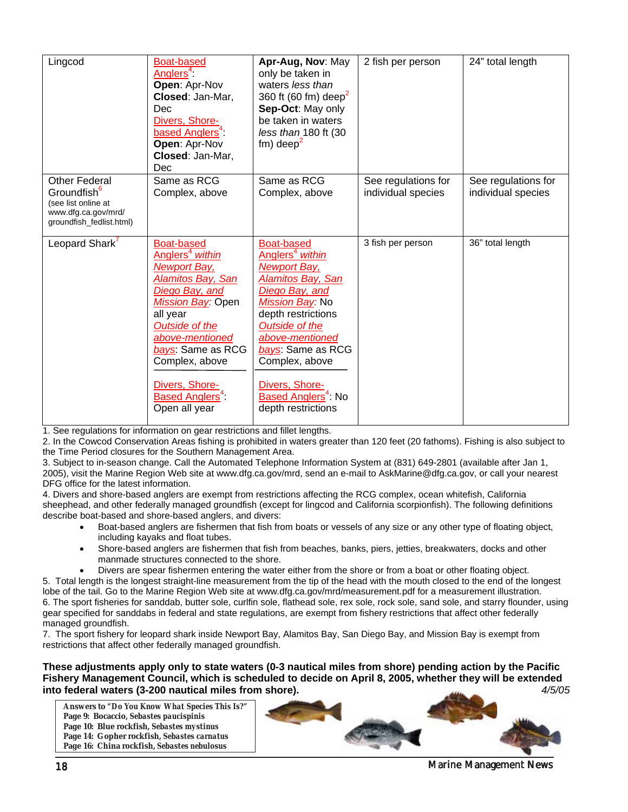| Lingcod                                                                                                                   | <b>Boat-based</b><br>Anglers <sup>4</sup> :<br>Open: Apr-Nov<br>Closed: Jan-Mar,<br>Dec<br>Divers, Shore-<br>based Anglers <sup>4</sup> :<br>Open: Apr-Nov<br>Closed: Jan-Mar,<br><b>Dec</b>                                                                                                               | Apr-Aug, Nov: May<br>only be taken in<br>waters less than<br>360 ft (60 fm) deep <sup>2</sup><br>Sep-Oct: May only<br>be taken in waters<br>less than 180 ft (30<br>$f$ m) deep <sup>2</sup>                                                                                                                          | 2 fish per person                         | 24" total length                          |
|---------------------------------------------------------------------------------------------------------------------------|------------------------------------------------------------------------------------------------------------------------------------------------------------------------------------------------------------------------------------------------------------------------------------------------------------|-----------------------------------------------------------------------------------------------------------------------------------------------------------------------------------------------------------------------------------------------------------------------------------------------------------------------|-------------------------------------------|-------------------------------------------|
| <b>Other Federal</b><br>Groundfish <sup>6</sup><br>(see list online at<br>www.dfg.ca.gov/mrd/<br>groundfish_fedlist.html) | Same as RCG<br>Complex, above                                                                                                                                                                                                                                                                              | Same as RCG<br>Complex, above                                                                                                                                                                                                                                                                                         | See regulations for<br>individual species | See regulations for<br>individual species |
| Leopard Shark'                                                                                                            | <b>Boat-based</b><br>Anglers <sup>4</sup> within<br><b>Newport Bay,</b><br><b>Alamitos Bay, San</b><br>Diego Bay, and<br>Mission Bay: Open<br>all year<br>Outside of the<br>above-mentioned<br>bays: Same as RCG<br>Complex, above<br>Divers, Shore-<br><b>Based Anglers<sup>4</sup>:</b><br>Open all year | <b>Boat-based</b><br>Anglers <sup>4</sup> within<br><b>Newport Bay,</b><br><b>Alamitos Bay, San</b><br>Diego Bay, and<br>Mission Bay: No<br>depth restrictions<br>Outside of the<br>above-mentioned<br>bays: Same as RCG<br>Complex, above<br>Divers, Shore-<br>Based Anglers <sup>4</sup> : No<br>depth restrictions | 3 fish per person                         | 36" total length                          |

2. In the Cowcod Conservation Areas fishing is prohibited in waters greater than 120 feet (20 fathoms). Fishing is also subject to the Time Period closures for the Southern Management Area.

3. Subject to in-season change. Call the Automated Telephone Information System at (831) 649-2801 (available after Jan 1, 2005), visit the Marine Region Web site at www.dfg.ca.gov/mrd, send an e-mail to AskMarine@dfg.ca.gov, or call your nearest DFG office for the latest information.

4. Divers and shore-based anglers are exempt from restrictions affecting the RCG complex, ocean whitefish, California sheephead, and other federally managed groundfish (except for lingcod and California scorpionfish). The following definitions describe boat-based and shore-based anglers, and divers:

- Boat-based anglers are fishermen that fish from boats or vessels of any size or any other type of floating object, including kayaks and float tubes.
- Shore-based anglers are fishermen that fish from beaches, banks, piers, jetties, breakwaters, docks and other manmade structures connected to the shore.
- Divers are spear fishermen entering the water either from the shore or from a boat or other floating object.

5. Total length is the longest straight-line measurement from the tip of the head with the mouth closed to the end of the longest lobe of the tail. Go to the Marine Region Web site at www.dfg.ca.gov/mrd/measurement.pdf for a measurement illustration. 6. The sport fisheries for sanddab, butter sole, curlfin sole, flathead sole, rex sole, rock sole, sand sole, and starry flounder, using gear specified for sanddabs in federal and state regulations, are exempt from fishery restrictions that affect other federally managed groundfish.

7. The sport fishery for leopard shark inside Newport Bay, Alamitos Bay, San Diego Bay, and Mission Bay is exempt from restrictions that affect other federally managed groundfish.

**These adjustments apply only to state waters (0-3 nautical miles from shore) pending action by the Pacific Fishery Management Council, which is scheduled to decide on April 8, 2005, whether they will be extended into federal waters (3-200 nautical miles from shore).** *4/5/05*

**Answers to** *"Do You Know What Species This Is?"* **Page 9: Bocaccio,** *Sebastes paucispinis* **Page 10: Blue rockfish,** *Sebastes mystinus* **Page 14: Gopher rockfish,** *Sebastes carnatus* **Page 16: China rockfish,** *Sebastes nebulosus*



18 Marine Management News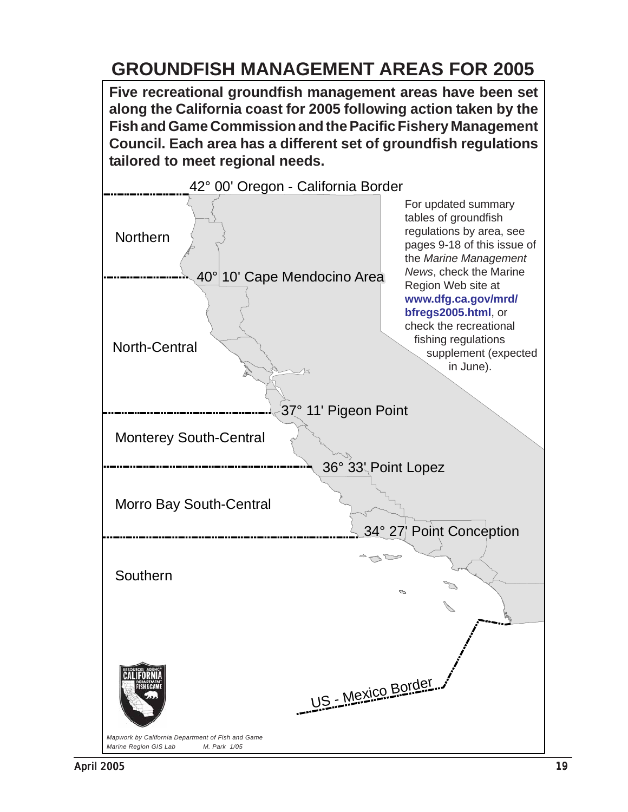# **GROUNDFISH MANAGEMENT AREAS FOR 2005**

**Five recreational groundfish management areas have been set along the California coast for 2005 following action taken by the Fish and Game Commission and the Pacific Fishery Management Council. Each area has a different set of groundfish regulations tailored to meet regional needs.**

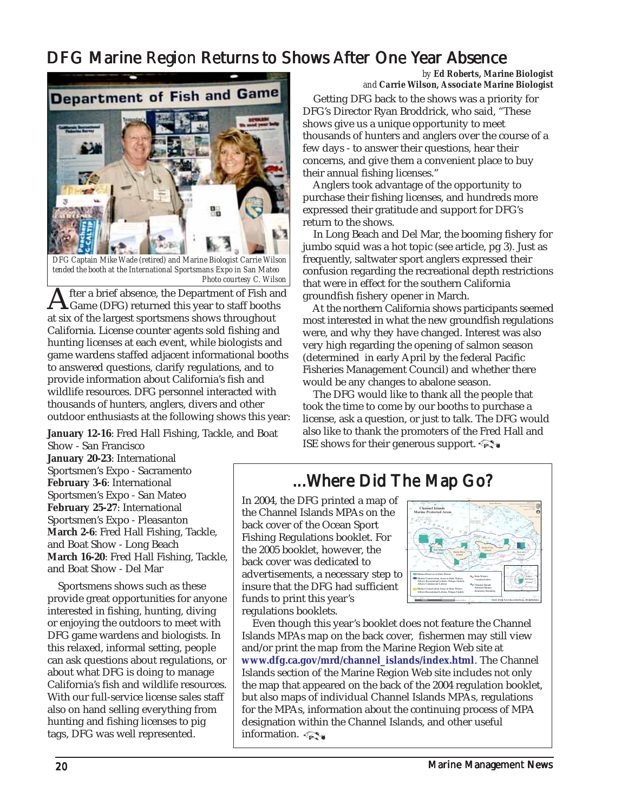# <span id="page-19-0"></span>DFG Marine Region Returns to Shows After One Year Absence



*DFG Captain Mike Wade (retired) and Marine Biologist Carrie Wilson tended the booth at the International Sportsmans Expo in San Mateo Photo courtesy C. Wilson*

After a brief absence, the Department of Fish and<br>Game (DFG) returned this year to staff booths<br>at six of the largest apartmens above throughout at six of the largest sportsmens shows throughout California. License counter agents sold fishing and hunting licenses at each event, while biologists and game wardens staffed adjacent informational booths to answered questions, clarify regulations, and to provide information about California's fish and wildlife resources. DFG personnel interacted with thousands of hunters, anglers, divers and other outdoor enthusiasts at the following shows this year:

**January 12-16**: Fred Hall Fishing, Tackle, and Boat Show - San Francisco

**January 20-23**: International Sportsmen's Expo - Sacramento **February 3-6**: International Sportsmen's Expo - San Mateo **February 25-27**: International Sportsmen's Expo - Pleasanton **March 2-6**: Fred Hall Fishing, Tackle, and Boat Show - Long Beach **March 16-20**: Fred Hall Fishing, Tackle,

 Sportsmens shows such as these provide great opportunities for anyone interested in fishing, hunting, diving or enjoying the outdoors to meet with DFG game wardens and biologists. In this relaxed, informal setting, people can ask questions about regulations, or about what DFG is doing to manage California's fish and wildlife resources. With our full-service license sales staff also on hand selling everything from hunting and fishing licenses to pig tags, DFG was well represented.

and Boat Show - Del Mar

*by Ed Roberts, Marine Biologist and Carrie Wilson, Associate Marine Biologist*

 Getting DFG back to the shows was a priority for DFG's Director Ryan Broddrick, who said, "These shows give us a unique opportunity to meet thousands of hunters and anglers over the course of a few days - to answer their questions, hear their concerns, and give them a convenient place to buy their annual fishing licenses."

 Anglers took advantage of the opportunity to purchase their fishing licenses, and hundreds more expressed their gratitude and support for DFG's return to the shows.

 In Long Beach and Del Mar, the booming fishery for jumbo squid was a hot topic (see article, pg 3). Just as frequently, saltwater sport anglers expressed their confusion regarding the recreational depth restrictions that were in effect for the southern California groundfish fishery opener in March.

 At the northern California shows participants seemed most interested in what the new groundfish regulations were, and why they have changed. Interest was also very high regarding the opening of salmon season (determined in early April by the federal Pacific Fisheries Management Council) and whether there would be any changes to abalone season.

 The DFG would like to thank all the people that took the time to come by our booths to purchase a license, ask a question, or just to talk. The DFG would also like to thank the promoters of the Fred Hall and ISE shows for their generous support.

### ...Where Did The Map Go? ...Where Did The Go?

In 2004, the DFG printed a map of the Channel Islands MPAs on the back cover of the Ocean Sport Fishing Regulations booklet. For the 2005 booklet, however, the back cover was dedicated to advertisements, a necessary step to insure that the DFG had sufficient funds to print this year's regulations booklets.



 Even though this year's booklet does not feature the Channel Islands MPAs map on the back cover, fishermen may still view and/or print the map from the Marine Region Web site at **[www.dfg.ca.gov/mrd/channel\\_islands/index.html](www.dfg.ca.gov/mrd/channel_islands/index.html)**. The Channel Islands section of the Marine Region Web site includes not only the map that appeared on the back of the 2004 regulation booklet, but also maps of individual Channel Islands MPAs, regulations for the MPAs, information about the continuing process of MPA designation within the Channel Islands, and other useful information.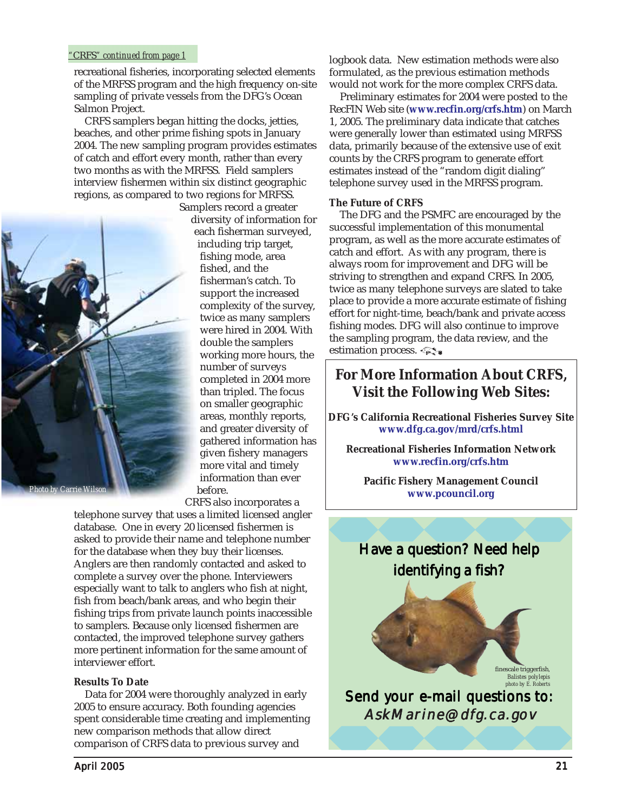#### <span id="page-20-0"></span>*"*CRFS*" continued from page 1*

recreational fisheries, incorporating selected elements of the MRFSS program and the high frequency on-site sampling of private vessels from the DFG's Ocean Salmon Project.

 CRFS samplers began hitting the docks, jetties, beaches, and other prime fishing spots in January 2004. The new sampling program provides estimates of catch and effort every month, rather than every two months as with the MRFSS. Field samplers interview fishermen within six distinct geographic regions, as compared to two regions for MRFSS.



Samplers record a greater diversity of information for each fisherman surveyed, including trip target, fishing mode, area fished, and the fisherman's catch. To support the increased complexity of the survey, twice as many samplers were hired in 2004. With double the samplers working more hours, the number of surveys completed in 2004 more than tripled. The focus on smaller geographic areas, monthly reports, and greater diversity of gathered information has given fishery managers more vital and timely information than ever before.

CRFS also incorporates a

telephone survey that uses a limited licensed angler database. One in every 20 licensed fishermen is asked to provide their name and telephone number for the database when they buy their licenses. Anglers are then randomly contacted and asked to complete a survey over the phone. Interviewers especially want to talk to anglers who fish at night, fish from beach/bank areas, and who begin their fishing trips from private launch points inaccessible to samplers. Because only licensed fishermen are contacted, the improved telephone survey gathers more pertinent information for the same amount of interviewer effort.

#### **Results To Date**

 Data for 2004 were thoroughly analyzed in early 2005 to ensure accuracy. Both founding agencies spent considerable time creating and implementing new comparison methods that allow direct comparison of CRFS data to previous survey and

logbook data. New estimation methods were also formulated, as the previous estimation methods would not work for the more complex CRFS data.

 Preliminary estimates for 2004 were posted to the RecFIN Web site (**<www.recfin.org/crfs.htm>**) on March 1, 2005. The preliminary data indicate that catches were generally lower than estimated using MRFSS data, primarily because of the extensive use of exit counts by the CRFS program to generate effort estimates instead of the "random digit dialing" telephone survey used in the MRFSS program.

#### **The Future of CRFS**

 The DFG and the PSMFC are encouraged by the successful implementation of this monumental program, as well as the more accurate estimates of catch and effort. As with any program, there is always room for improvement and DFG will be striving to strengthen and expand CRFS. In 2005, twice as many telephone surveys are slated to take place to provide a more accurate estimate of fishing effort for night-time, beach/bank and private access fishing modes. DFG will also continue to improve the sampling program, the data review, and the estimation process.

#### **For More Information About CRFS, Visit the Following Web Sites:**

**DFG's California Recreational Fisheries Survey Site <www.dfg.ca.gov/mrd/crfs.html>**

**Recreational Fisheries Information Network <www.recfin.org/crfs.htm>**

**Pacific Fishery Management Council <www.pcouncil.org>**

# Have a question? Need help identifying a fish?

finescale triggerfish*, Balistes polylepis photo by E. Roberts*

Send your e-mail questions to: AskMarine@dfg.ca.gov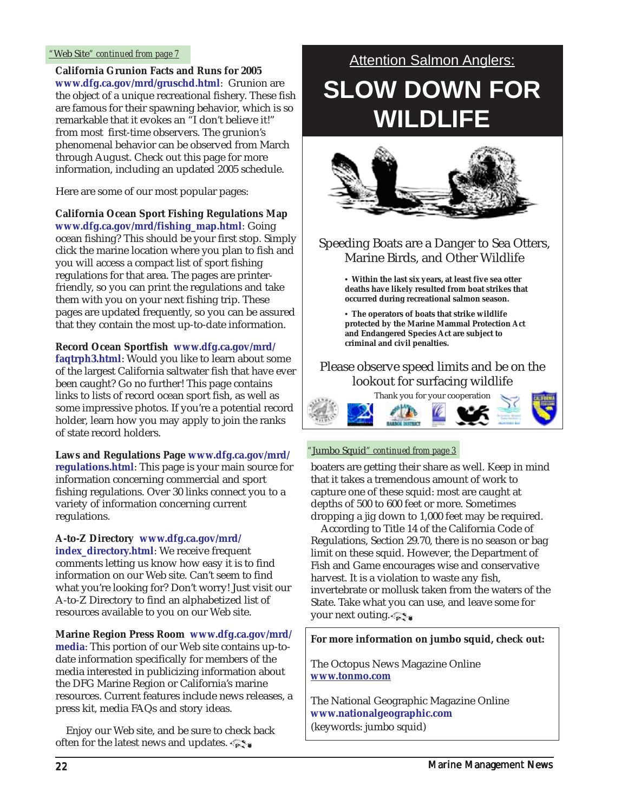#### <span id="page-21-0"></span>*"*Web Site*" continued from page 7*

**California Grunion Facts and Runs for 2005 <www.dfg.ca.gov/mrd/gruschd.html>**: Grunion are the object of a unique recreational fishery. These fish are famous for their spawning behavior, which is so remarkable that it evokes an "I don't believe it!" from most first-time observers. The grunion's phenomenal behavior can be observed from March through August. Check out this page for more information, including an updated 2005 schedule.

Here are some of our most popular pages:

**California Ocean Sport Fishing Regulations Map [www.dfg.ca.gov/mrd/fishing\\_map.html](www.dfg.ca.gov/mrd/fishing_map.html)**: Going ocean fishing? This should be your first stop. Simply click the marine location where you plan to fish and you will access a compact list of sport fishing regulations for that area. The pages are printerfriendly, so you can print the regulations and take them with you on your next fishing trip. These pages are updated frequently, so you can be assured that they contain the most up-to-date information.

**[Record Ocean Sportfish www.dfg.ca.gov/mrd/](www.dfg.ca.gov/mrd/faqtrph3.html)**

**faqtrph3.html**: Would you like to learn about some of the largest California saltwater fish that have ever been caught? Go no further! This page contains links to lists of record ocean sport fish, as well as some impressive photos. If you're a potential record holder, learn how you may apply to join the ranks of state record holders.

**[Laws and Regulations Page www.dfg.ca.gov/mrd/](www.dfg.ca.gov/mrd/regulations.html) regulations.html**: This page is your main source for information concerning commercial and sport fishing regulations. Over 30 links connect you to a variety of information concerning current regulations.

**[A-to-Z Directory www.dfg.ca.gov/mrd/](www.dfg.ca.gov/mrd/index_directory.html) index\_directory.html**: We receive frequent comments letting us know how easy it is to find information on our Web site. Can't seem to find what you're looking for? Don't worry! Just visit our A-to-Z Directory to find an alphabetized list of resources available to you on our Web site.

#### **[Marine Region Press Room www.dfg.ca.gov/mrd/](www.dfg.ca.gov/mrd/media)**

**media**: This portion of our Web site contains up-todate information specifically for members of the media interested in publicizing information about the DFG Marine Region or California's marine resources. Current features include news releases, a press kit, media FAQs and story ideas.

 Enjoy our Web site, and be sure to check back often for the latest news and updates.

# **Attention Salmon Anglers: SLOW DOWN FOR WILDLIFE**



#### Speeding Boats are a Danger to Sea Otters, Marine Birds, and Other Wildlife

**• Within the last six years, at least five sea otter deaths have likely resulted from boat strikes that occurred during recreational salmon season.**

**• The operators of boats that strike wildlife protected by the Marine Mammal Protection Act and Endangered Species Act are subject to criminal and civil penalties.**

#### Please observe speed limits and be on the lookout for surfacing wildlife



#### *"*Jumbo Squid*" continued from page 3*

boaters are getting their share as well. Keep in mind that it takes a tremendous amount of work to capture one of these squid: most are caught at depths of 500 to 600 feet or more. Sometimes dropping a jig down to 1,000 feet may be required.

 According to Title 14 of the California Code of Regulations, Section 29.70, there is no season or bag limit on these squid. However, the Department of Fish and Game encourages wise and conservative harvest. It is a violation to waste any fish, invertebrate or mollusk taken from the waters of the State. Take what you can use, and leave some for your next outing.

#### **For more information on jumbo squid, check out:**

The Octopus News Magazine Online **<www.tonmo.com>**

The National Geographic Magazine Online **<www.nationalgeographic.com>** (keywords: jumbo squid)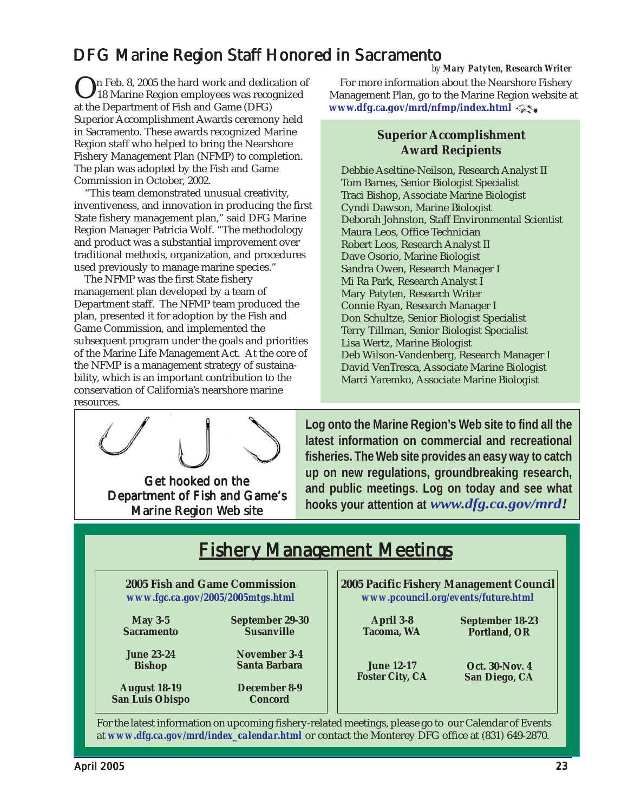# <span id="page-22-0"></span>DFG Marine Region Staff Honored in Sacramento

On Feb. 8, 2005 the hard work and dedication of<br>18 Marine Region employees was recognized<br>at the Department of Fish and Came (DEC) at the Department of Fish and Game (DFG) Superior Accomplishment Awards ceremony held in Sacramento. These awards recognized Marine Region staff who helped to bring the Nearshore Fishery Management Plan (NFMP) to completion. The plan was adopted by the Fish and Game Commission in October, 2002.

 "This team demonstrated unusual creativity, inventiveness, and innovation in producing the first State fishery management plan," said DFG Marine Region Manager Patricia Wolf. "The methodology and product was a substantial improvement over traditional methods, organization, and procedures used previously to manage marine species."

 The NFMP was the first State fishery management plan developed by a team of Department staff. The NFMP team produced the plan, presented it for adoption by the Fish and Game Commission, and implemented the subsequent program under the goals and priorities of the Marine Life Management Act. At the core of the NFMP is a management strategy of sustainability, which is an important contribution to the conservation of California's nearshore marine resources.

*by Mary Patyten, Research Writer*

 For more information about the Nearshore Fishery Management Plan, go to the Marine Region website at **<www.dfg.ca.gov/mrd/nfmp/index.html>** 

#### **Superior Accomplishment Award Recipients**

Debbie Aseltine-Neilson, Research Analyst II Tom Barnes, Senior Biologist Specialist Traci Bishop, Associate Marine Biologist Cyndi Dawson, Marine Biologist Deborah Johnston, Staff Environmental Scientist Maura Leos, Office Technician Robert Leos, Research Analyst II Dave Osorio, Marine Biologist Sandra Owen, Research Manager I Mi Ra Park, Research Analyst I Mary Patyten, Research Writer Connie Ryan, Research Manager I Don Schultze, Senior Biologist Specialist Terry Tillman, Senior Biologist Specialist Lisa Wertz, Marine Biologist Deb Wilson-Vandenberg, Research Manager I David VenTresca, Associate Marine Biologist Marci Yaremko, Associate Marine Biologist

Get hooked on the Department of Fish and Game's Marine Region Web site

**Log onto the Marine Region's Web site to find all the latest information on commercial and recreational fisheries. The Web site provides an easy way to catch up on new regulations, groundbreaking research, and public meetings. Log on today and see what hooks your attention at** *[www.dfg.ca.gov/mrd!](www.dfg.ca.gov/mrd)*

| <b>Fishery Management Meetings</b>            |                                |                                         |                        |
|-----------------------------------------------|--------------------------------|-----------------------------------------|------------------------|
| 2005 Fish and Game Commission                 |                                | 2005 Pacific Fishery Management Council |                        |
| www.fgc.ca.gov/2005/2005mtgs.html             |                                | www.pcouncil.org/events/future.html     |                        |
| May $3-5$                                     | September 29-30                | <b>April 3-8</b>                        | <b>September 18-23</b> |
| <b>Sacramento</b>                             | <b>Susanville</b>              | <b>Tacoma, WA</b>                       | Portland, OR           |
| <b>June 23-24</b>                             | November 3-4                   | <b>June 12-17</b>                       | <b>Oct. 30-Nov. 4</b>  |
| <b>Bishop</b>                                 | Santa Barbara                  | <b>Foster City, CA</b>                  | San Diego, CA          |
| <b>August 18-19</b><br><b>San Luis Obispo</b> | December 8-9<br><b>Concord</b> |                                         |                        |

For the latest information on upcoming fishery-related meetings, please go to our Calendar of Events at *[www.dfg.ca.gov/mrd/index\\_calendar.html](www.dfg.ca.gov/mrd/index_calendar.html)* or contact the Monterey DFG office at (831) 649-2870.